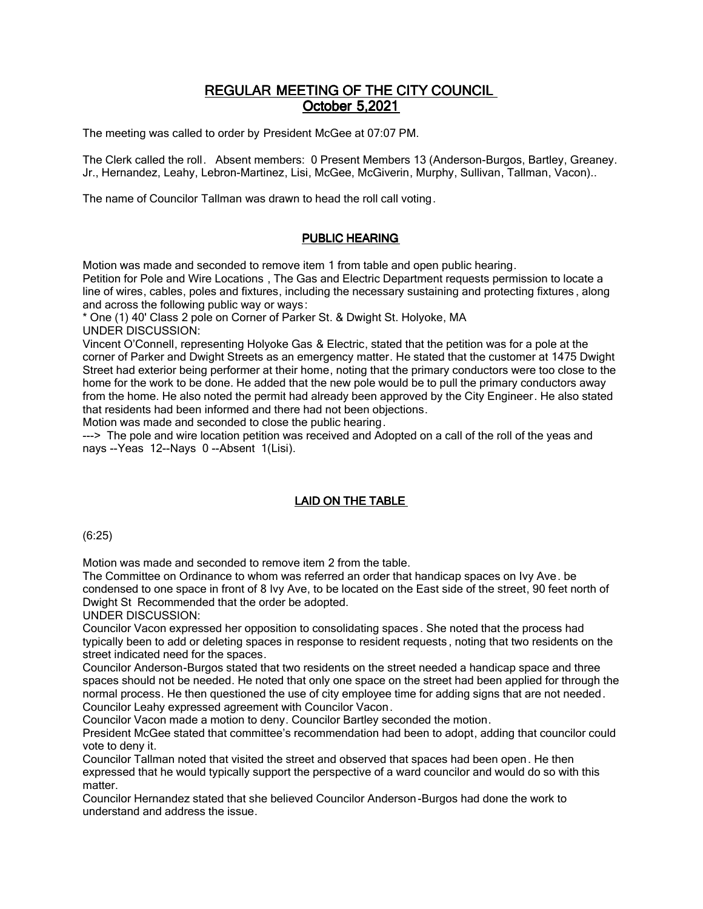# REGULAR MEETING OF THE CITY COUNCIL October 5,2021

The meeting was called to order by President McGee at 07:07 PM.

The Clerk called the roll. Absent members: 0 Present Members 13 (Anderson-Burgos, Bartley, Greaney. Jr., Hernandez, Leahy, Lebron-Martinez, Lisi, McGee, McGiverin, Murphy, Sullivan, Tallman, Vacon)..

The name of Councilor Tallman was drawn to head the roll call voting.

# PUBLIC HEARING

Motion was made and seconded to remove item 1 from table and open public hearing. Petition for Pole and Wire Locations , The Gas and Electric Department requests permission to locate a line of wires, cables, poles and fixtures, including the necessary sustaining and protecting fixtures , along and across the following public way or ways:

\* One (1) 40' Class 2 pole on Corner of Parker St. & Dwight St. Holyoke, MA UNDER DISCUSSION:

Vincent O'Connell, representing Holyoke Gas & Electric, stated that the petition was for a pole at the corner of Parker and Dwight Streets as an emergency matter. He stated that the customer at 1475 Dwight Street had exterior being performer at their home, noting that the primary conductors were too close to the home for the work to be done. He added that the new pole would be to pull the primary conductors away from the home. He also noted the permit had already been approved by the City Engineer. He also stated that residents had been informed and there had not been objections.

Motion was made and seconded to close the public hearing.

---> The pole and wire location petition was received and Adopted on a call of the roll of the yeas and nays --Yeas 12--Nays 0 --Absent 1(Lisi).

# LAID ON THE TABLE

(6:25)

Motion was made and seconded to remove item 2 from the table.

The Committee on Ordinance to whom was referred an order that handicap spaces on Ivy Ave. be condensed to one space in front of 8 Ivy Ave, to be located on the East side of the street, 90 feet north of Dwight St Recommended that the order be adopted.

UNDER DISCUSSION:

Councilor Vacon expressed her opposition to consolidating spaces . She noted that the process had typically been to add or deleting spaces in response to resident requests , noting that two residents on the street indicated need for the spaces.

Councilor Anderson-Burgos stated that two residents on the street needed a handicap space and three spaces should not be needed. He noted that only one space on the street had been applied for through the normal process. He then questioned the use of city employee time for adding signs that are not needed. Councilor Leahy expressed agreement with Councilor Vacon.

Councilor Vacon made a motion to deny. Councilor Bartley seconded the motion.

President McGee stated that committee's recommendation had been to adopt, adding that councilor could vote to deny it.

Councilor Tallman noted that visited the street and observed that spaces had been open. He then expressed that he would typically support the perspective of a ward councilor and would do so with this matter.

Councilor Hernandez stated that she believed Councilor Anderson-Burgos had done the work to understand and address the issue.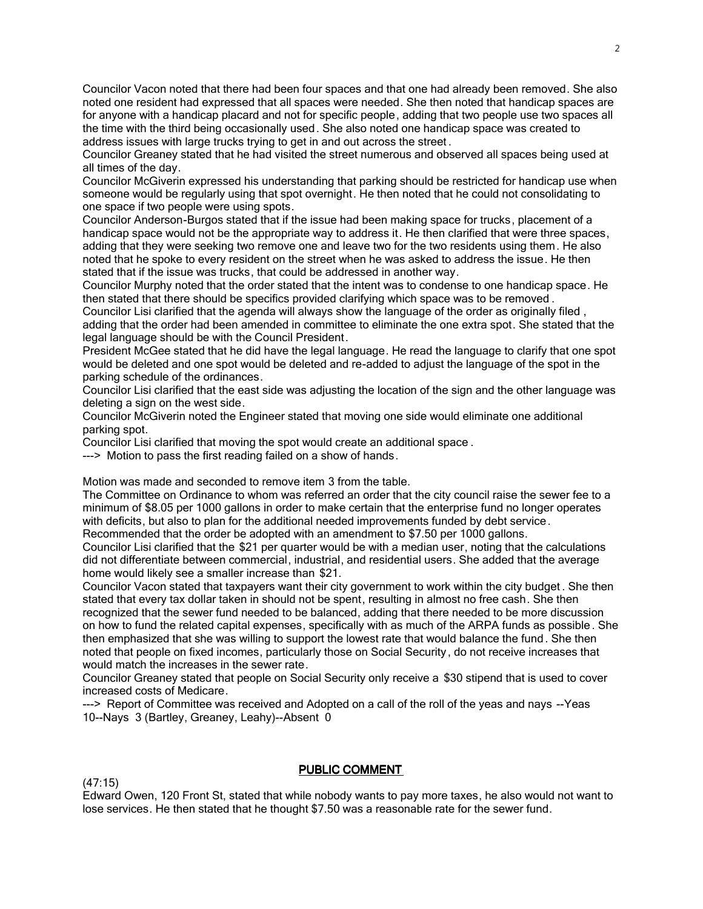Councilor Vacon noted that there had been four spaces and that one had already been removed. She also noted one resident had expressed that all spaces were needed. She then noted that handicap spaces are for anyone with a handicap placard and not for specific people, adding that two people use two spaces all the time with the third being occasionally used. She also noted one handicap space was created to address issues with large trucks trying to get in and out across the street .

Councilor Greaney stated that he had visited the street numerous and observed all spaces being used at all times of the day.

Councilor McGiverin expressed his understanding that parking should be restricted for handicap use when someone would be regularly using that spot overnight. He then noted that he could not consolidating to one space if two people were using spots.

Councilor Anderson-Burgos stated that if the issue had been making space for trucks, placement of a handicap space would not be the appropriate way to address it. He then clarified that were three spaces, adding that they were seeking two remove one and leave two for the two residents using them. He also noted that he spoke to every resident on the street when he was asked to address the issue. He then stated that if the issue was trucks, that could be addressed in another way.

Councilor Murphy noted that the order stated that the intent was to condense to one handicap space. He then stated that there should be specifics provided clarifying which space was to be removed .

Councilor Lisi clarified that the agenda will always show the language of the order as originally filed , adding that the order had been amended in committee to eliminate the one extra spot. She stated that the legal language should be with the Council President.

President McGee stated that he did have the legal language. He read the language to clarify that one spot would be deleted and one spot would be deleted and re-added to adjust the language of the spot in the parking schedule of the ordinances.

Councilor Lisi clarified that the east side was adjusting the location of the sign and the other language was deleting a sign on the west side.

Councilor McGiverin noted the Engineer stated that moving one side would eliminate one additional parking spot.

Councilor Lisi clarified that moving the spot would create an additional space .

---> Motion to pass the first reading failed on a show of hands.

Motion was made and seconded to remove item 3 from the table.

The Committee on Ordinance to whom was referred an order that the city council raise the sewer fee to a minimum of \$8.05 per 1000 gallons in order to make certain that the enterprise fund no longer operates with deficits, but also to plan for the additional needed improvements funded by debt service.

Recommended that the order be adopted with an amendment to \$7.50 per 1000 gallons.

Councilor Lisi clarified that the \$21 per quarter would be with a median user, noting that the calculations did not differentiate between commercial, industrial, and residential users. She added that the average home would likely see a smaller increase than \$21.

Councilor Vacon stated that taxpayers want their city government to work within the city budget . She then stated that every tax dollar taken in should not be spent, resulting in almost no free cash. She then recognized that the sewer fund needed to be balanced, adding that there needed to be more discussion on how to fund the related capital expenses, specifically with as much of the ARPA funds as possible . She then emphasized that she was willing to support the lowest rate that would balance the fund . She then noted that people on fixed incomes, particularly those on Social Security, do not receive increases that would match the increases in the sewer rate.

Councilor Greaney stated that people on Social Security only receive a \$30 stipend that is used to cover increased costs of Medicare.

---> Report of Committee was received and Adopted on a call of the roll of the yeas and nays --Yeas 10--Nays 3 (Bartley, Greaney, Leahy)--Absent 0

(47:15)

### PUBLIC COMMENT

Edward Owen, 120 Front St, stated that while nobody wants to pay more taxes, he also would not want to lose services. He then stated that he thought \$7.50 was a reasonable rate for the sewer fund.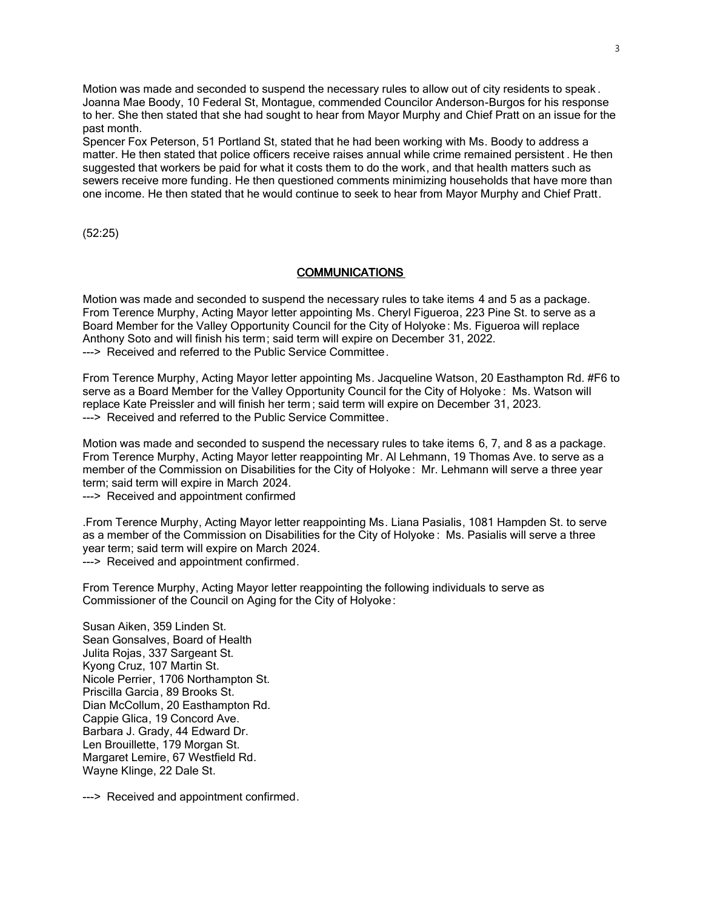Motion was made and seconded to suspend the necessary rules to allow out of city residents to speak . Joanna Mae Boody, 10 Federal St, Montague, commended Councilor Anderson-Burgos for his response to her. She then stated that she had sought to hear from Mayor Murphy and Chief Pratt on an issue for the past month.

Spencer Fox Peterson, 51 Portland St, stated that he had been working with Ms. Boody to address a matter. He then stated that police officers receive raises annual while crime remained persistent . He then suggested that workers be paid for what it costs them to do the work, and that health matters such as sewers receive more funding. He then questioned comments minimizing households that have more than one income. He then stated that he would continue to seek to hear from Mayor Murphy and Chief Pratt.

(52:25)

#### **COMMUNICATIONS**

Motion was made and seconded to suspend the necessary rules to take items 4 and 5 as a package. From Terence Murphy, Acting Mayor letter appointing Ms. Cheryl Figueroa, 223 Pine St. to serve as a Board Member for the Valley Opportunity Council for the City of Holyoke : Ms. Figueroa will replace Anthony Soto and will finish his term; said term will expire on December 31, 2022. ---> Received and referred to the Public Service Committee.

From Terence Murphy, Acting Mayor letter appointing Ms. Jacqueline Watson, 20 Easthampton Rd. #F6 to serve as a Board Member for the Valley Opportunity Council for the City of Holyoke : Ms. Watson will replace Kate Preissler and will finish her term ; said term will expire on December 31, 2023. ---> Received and referred to the Public Service Committee.

Motion was made and seconded to suspend the necessary rules to take items 6, 7, and 8 as a package. From Terence Murphy, Acting Mayor letter reappointing Mr. Al Lehmann, 19 Thomas Ave. to serve as a member of the Commission on Disabilities for the City of Holyoke : Mr. Lehmann will serve a three year term; said term will expire in March 2024.

---> Received and appointment confirmed

.From Terence Murphy, Acting Mayor letter reappointing Ms. Liana Pasialis, 1081 Hampden St. to serve as a member of the Commission on Disabilities for the City of Holyoke : Ms. Pasialis will serve a three year term; said term will expire on March 2024. ---> Received and appointment confirmed.

From Terence Murphy, Acting Mayor letter reappointing the following individuals to serve as Commissioner of the Council on Aging for the City of Holyoke:

Susan Aiken, 359 Linden St. Sean Gonsalves, Board of Health Julita Rojas, 337 Sargeant St. Kyong Cruz, 107 Martin St. Nicole Perrier, 1706 Northampton St. Priscilla Garcia, 89 Brooks St. Dian McCollum, 20 Easthampton Rd. Cappie Glica, 19 Concord Ave. Barbara J. Grady, 44 Edward Dr. Len Brouillette, 179 Morgan St. Margaret Lemire, 67 Westfield Rd. Wayne Klinge, 22 Dale St.

---> Received and appointment confirmed.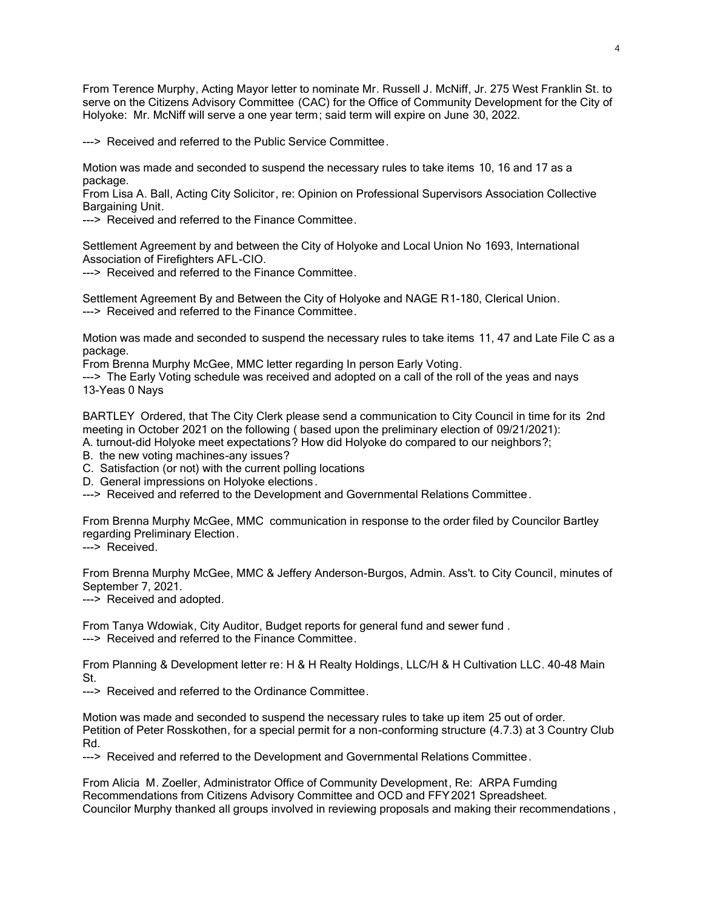From Terence Murphy, Acting Mayor letter to nominate Mr. Russell J. McNiff, Jr. 275 West Franklin St. to serve on the Citizens Advisory Committee (CAC) for the Office of Community Development for the City of Holyoke: Mr. McNiff will serve a one year term; said term will expire on June 30, 2022.

---> Received and referred to the Public Service Committee.

Motion was made and seconded to suspend the necessary rules to take items 10, 16 and 17 as a package.

From Lisa A. Ball, Acting City Solicitor, re: Opinion on Professional Supervisors Association Collective Bargaining Unit.

---> Received and referred to the Finance Committee.

Settlement Agreement by and between the City of Holyoke and Local Union No 1693, International Association of Firefighters AFL-CIO.

---> Received and referred to the Finance Committee.

Settlement Agreement By and Between the City of Holyoke and NAGE R1-180, Clerical Union. ---> Received and referred to the Finance Committee.

Motion was made and seconded to suspend the necessary rules to take items 11, 47 and Late File C as a package.

From Brenna Murphy McGee, MMC letter regarding In person Early Voting.

---> The Early Voting schedule was received and adopted on a call of the roll of the yeas and nays 13-Yeas 0 Nays

BARTLEY Ordered, that The City Clerk please send a communication to City Council in time for its 2nd meeting in October 2021 on the following ( based upon the preliminary election of 09/21/2021):

A. turnout-did Holyoke meet expectations? How did Holyoke do compared to our neighbors?;

B. the new voting machines-any issues?

- C. Satisfaction (or not) with the current polling locations
- D. General impressions on Holyoke elections .

---> Received and referred to the Development and Governmental Relations Committee.

From Brenna Murphy McGee, MMC communication in response to the order filed by Councilor Bartley regarding Preliminary Election.

---> Received

From Brenna Murphy McGee, MMC & Jeffery Anderson-Burgos, Admin. Ass't. to City Council, minutes of September 7, 2021.

---> Received and adopted.

From Tanya Wdowiak, City Auditor, Budget reports for general fund and sewer fund . ---> Received and referred to the Finance Committee.

From Planning & Development letter re: H & H Realty Holdings, LLC/H & H Cultivation LLC. 40-48 Main St.

---> Received and referred to the Ordinance Committee.

Motion was made and seconded to suspend the necessary rules to take up item 25 out of order. Petition of Peter Rosskothen, for a special permit for a non-conforming structure (4.7.3) at 3 Country Club Rd.

---> Received and referred to the Development and Governmental Relations Committee.

From Alicia M. Zoeller, Administrator Office of Community Development, Re: ARPA Fumding Recommendations from Citizens Advisory Committee and OCD and FFY2021 Spreadsheet. Councilor Murphy thanked all groups involved in reviewing proposals and making their recommendations ,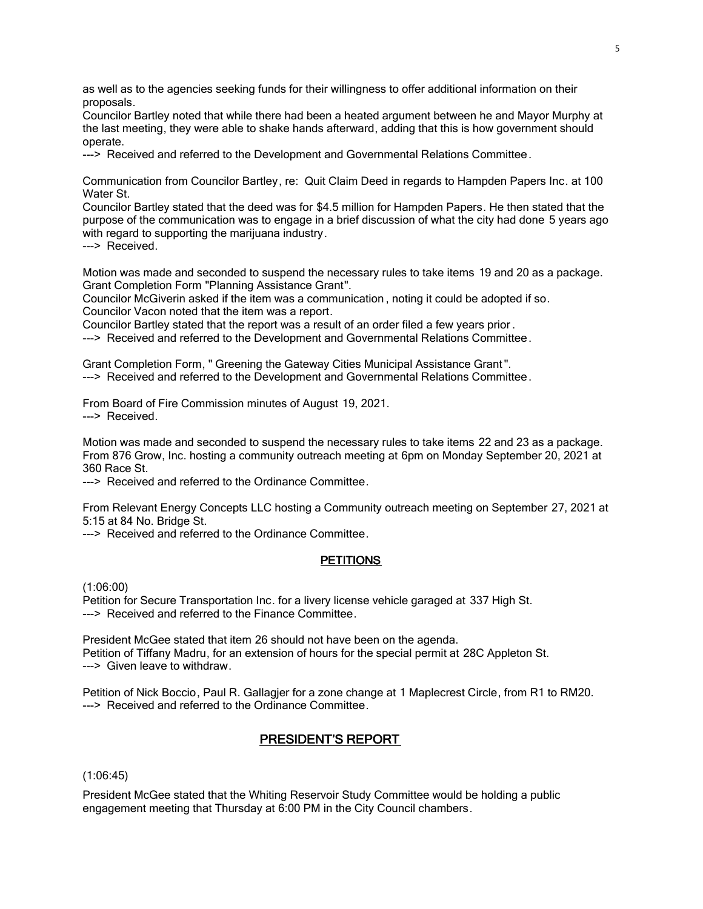as well as to the agencies seeking funds for their willingness to offer additional information on their proposals.

Councilor Bartley noted that while there had been a heated argument between he and Mayor Murphy at the last meeting, they were able to shake hands afterward, adding that this is how government should operate.

---> Received and referred to the Development and Governmental Relations Committee.

Communication from Councilor Bartley, re: Quit Claim Deed in regards to Hampden Papers Inc. at 100 Water St.

Councilor Bartley stated that the deed was for \$4.5 million for Hampden Papers. He then stated that the purpose of the communication was to engage in a brief discussion of what the city had done 5 years ago with regard to supporting the marijuana industry.

---> Received.

Motion was made and seconded to suspend the necessary rules to take items 19 and 20 as a package. Grant Completion Form "Planning Assistance Grant".

Councilor McGiverin asked if the item was a communication , noting it could be adopted if so. Councilor Vacon noted that the item was a report.

Councilor Bartley stated that the report was a result of an order filed a few years prior .

---> Received and referred to the Development and Governmental Relations Committee.

Grant Completion Form, " Greening the Gateway Cities Municipal Assistance Grant ". ---> Received and referred to the Development and Governmental Relations Committee.

From Board of Fire Commission minutes of August 19, 2021. ---> Received

Motion was made and seconded to suspend the necessary rules to take items 22 and 23 as a package. From 876 Grow, Inc. hosting a community outreach meeting at 6pm on Monday September 20, 2021 at 360 Race St.

---> Received and referred to the Ordinance Committee.

From Relevant Energy Concepts LLC hosting a Community outreach meeting on September 27, 2021 at 5:15 at 84 No. Bridge St.

---> Received and referred to the Ordinance Committee.

### **PETITIONS**

(1:06:00)

Petition for Secure Transportation Inc. for a livery license vehicle garaged at 337 High St. ---> Received and referred to the Finance Committee.

President McGee stated that item 26 should not have been on the agenda. Petition of Tiffany Madru, for an extension of hours for the special permit at 28C Appleton St. ---> Given leave to withdraw.

Petition of Nick Boccio, Paul R. Gallagjer for a zone change at 1 Maplecrest Circle, from R1 to RM20. ---> Received and referred to the Ordinance Committee.

# PRESIDENT'S REPORT

# (1:06:45)

President McGee stated that the Whiting Reservoir Study Committee would be holding a public engagement meeting that Thursday at 6:00 PM in the City Council chambers.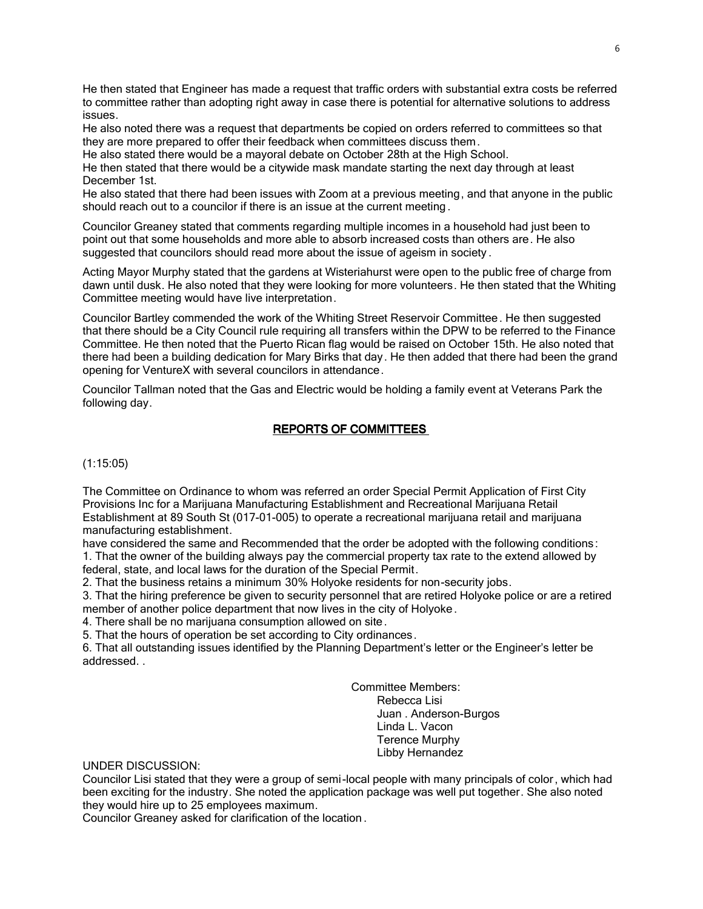He then stated that Engineer has made a request that traffic orders with substantial extra costs be referred to committee rather than adopting right away in case there is potential for alternative solutions to address issues.

He also noted there was a request that departments be copied on orders referred to committees so that they are more prepared to offer their feedback when committees discuss them.

He also stated there would be a mayoral debate on October 28th at the High School.

He then stated that there would be a citywide mask mandate starting the next day through at least December 1st.

He also stated that there had been issues with Zoom at a previous meeting, and that anyone in the public should reach out to a councilor if there is an issue at the current meeting .

Councilor Greaney stated that comments regarding multiple incomes in a household had just been to point out that some households and more able to absorb increased costs than others are. He also suggested that councilors should read more about the issue of ageism in society .

Acting Mayor Murphy stated that the gardens at Wisteriahurst were open to the public free of charge from dawn until dusk. He also noted that they were looking for more volunteers. He then stated that the Whiting Committee meeting would have live interpretation.

Councilor Bartley commended the work of the Whiting Street Reservoir Committee . He then suggested that there should be a City Council rule requiring all transfers within the DPW to be referred to the Finance Committee. He then noted that the Puerto Rican flag would be raised on October 15th. He also noted that there had been a building dedication for Mary Birks that day. He then added that there had been the grand opening for VentureX with several councilors in attendance.

Councilor Tallman noted that the Gas and Electric would be holding a family event at Veterans Park the following day.

# REPORTS OF COMMITTEES

(1:15:05)

The Committee on Ordinance to whom was referred an order Special Permit Application of First City Provisions Inc for a Marijuana Manufacturing Establishment and Recreational Marijuana Retail Establishment at 89 South St (017-01-005) to operate a recreational marijuana retail and marijuana manufacturing establishment.

have considered the same and Recommended that the order be adopted with the following conditions: 1. That the owner of the building always pay the commercial property tax rate to the extend allowed by federal, state, and local laws for the duration of the Special Permit.

2. That the business retains a minimum 30% Holyoke residents for non-security jobs.

3. That the hiring preference be given to security personnel that are retired Holyoke police or are a retired member of another police department that now lives in the city of Holyoke .

4. There shall be no marijuana consumption allowed on site.

5. That the hours of operation be set according to City ordinances.

6. That all outstanding issues identified by the Planning Department's letter or the Engineer's letter be addressed. .

> Committee Members: Rebecca Lisi Juan . Anderson-Burgos Linda L. Vacon Terence Murphy Libby Hernandez

UNDER DISCUSSION:

Councilor Lisi stated that they were a group of semi-local people with many principals of color , which had been exciting for the industry. She noted the application package was well put together. She also noted they would hire up to 25 employees maximum.

Councilor Greaney asked for clarification of the location .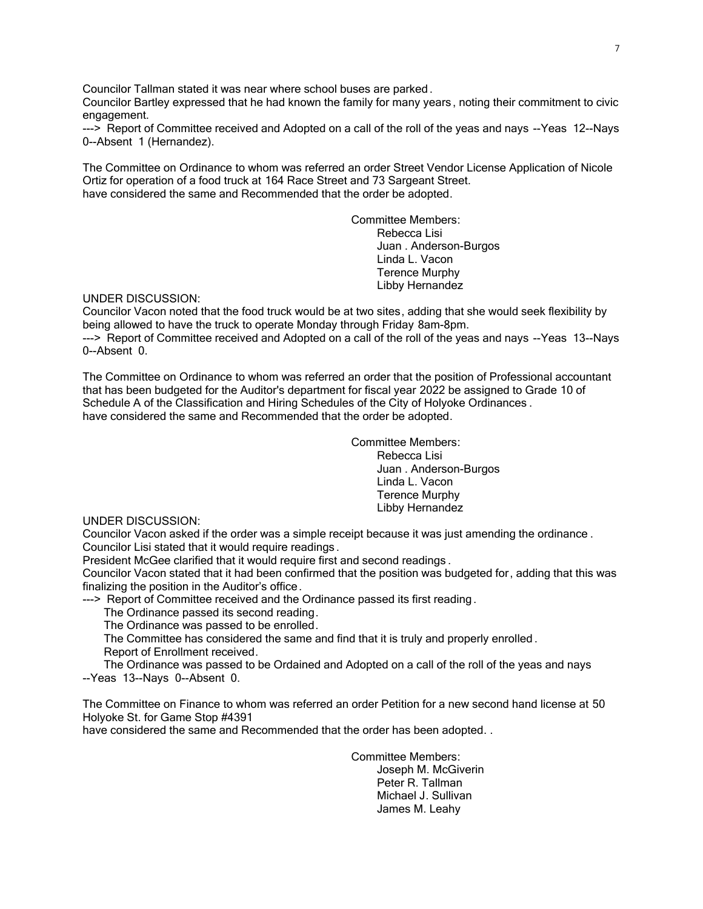Councilor Tallman stated it was near where school buses are parked .

Councilor Bartley expressed that he had known the family for many years , noting their commitment to civic engagement.

---> Report of Committee received and Adopted on a call of the roll of the yeas and nays --Yeas 12--Nays 0--Absent 1 (Hernandez).

The Committee on Ordinance to whom was referred an order Street Vendor License Application of Nicole Ortiz for operation of a food truck at 164 Race Street and 73 Sargeant Street. have considered the same and Recommended that the order be adopted.

> Committee Members: Rebecca Lisi Juan . Anderson-Burgos Linda L. Vacon Terence Murphy Libby Hernandez

UNDER DISCUSSION:

Councilor Vacon noted that the food truck would be at two sites, adding that she would seek flexibility by being allowed to have the truck to operate Monday through Friday 8am-8pm. ---> Report of Committee received and Adopted on a call of the roll of the yeas and nays --Yeas 13--Nays 0--Absent 0.

The Committee on Ordinance to whom was referred an order that the position of Professional accountant that has been budgeted for the Auditor's department for fiscal year 2022 be assigned to Grade 10 of Schedule A of the Classification and Hiring Schedules of the City of Holyoke Ordinances . have considered the same and Recommended that the order be adopted.

> Committee Members: Rebecca Lisi Juan . Anderson-Burgos Linda L. Vacon Terence Murphy Libby Hernandez

UNDER DISCUSSION:

Councilor Vacon asked if the order was a simple receipt because it was just amending the ordinance . Councilor Lisi stated that it would require readings .

President McGee clarified that it would require first and second readings .

Councilor Vacon stated that it had been confirmed that the position was budgeted for, adding that this was finalizing the position in the Auditor's office.

---> Report of Committee received and the Ordinance passed its first reading.

The Ordinance passed its second reading.

The Ordinance was passed to be enrolled.

 The Committee has considered the same and find that it is truly and properly enrolled . Report of Enrollment received.

 The Ordinance was passed to be Ordained and Adopted on a call of the roll of the yeas and nays --Yeas 13--Nays 0--Absent 0.

The Committee on Finance to whom was referred an order Petition for a new second hand license at 50 Holyoke St. for Game Stop #4391

have considered the same and Recommended that the order has been adopted. .

Committee Members: Joseph M. McGiverin Peter R. Tallman Michael J. Sullivan James M. Leahy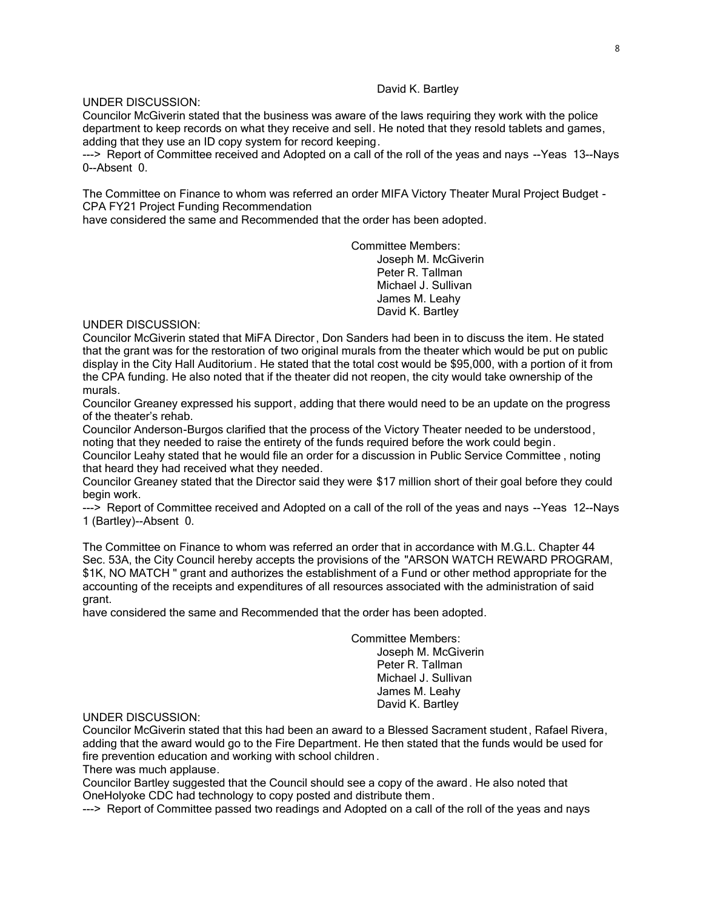# David K. Bartley

# UNDER DISCUSSION:

Councilor McGiverin stated that the business was aware of the laws requiring they work with the police department to keep records on what they receive and sell. He noted that they resold tablets and games, adding that they use an ID copy system for record keeping.

---> Report of Committee received and Adopted on a call of the roll of the yeas and nays --Yeas 13--Nays 0--Absent 0.

The Committee on Finance to whom was referred an order MIFA Victory Theater Mural Project Budget - CPA FY21 Project Funding Recommendation

have considered the same and Recommended that the order has been adopted.

Committee Members: Joseph M. McGiverin Peter R. Tallman Michael J. Sullivan James M. Leahy David K. Bartley

UNDER DISCUSSION:

Councilor McGiverin stated that MiFA Director , Don Sanders had been in to discuss the item. He stated that the grant was for the restoration of two original murals from the theater which would be put on public display in the City Hall Auditorium. He stated that the total cost would be \$95,000, with a portion of it from the CPA funding. He also noted that if the theater did not reopen, the city would take ownership of the murals.

Councilor Greaney expressed his support, adding that there would need to be an update on the progress of the theater's rehab.

Councilor Anderson-Burgos clarified that the process of the Victory Theater needed to be understood, noting that they needed to raise the entirety of the funds required before the work could begin.

Councilor Leahy stated that he would file an order for a discussion in Public Service Committee , noting that heard they had received what they needed.

Councilor Greaney stated that the Director said they were \$17 million short of their goal before they could begin work.

---> Report of Committee received and Adopted on a call of the roll of the yeas and nays --Yeas 12--Nays 1 (Bartley)--Absent 0.

The Committee on Finance to whom was referred an order that in accordance with M.G.L. Chapter 44 Sec. 53A, the City Council hereby accepts the provisions of the "ARSON WATCH REWARD PROGRAM, \$1K, NO MATCH " grant and authorizes the establishment of a Fund or other method appropriate for the accounting of the receipts and expenditures of all resources associated with the administration of said grant.

have considered the same and Recommended that the order has been adopted.

Committee Members: Joseph M. McGiverin Peter R. Tallman Michael J. Sullivan James M. Leahy David K. Bartley

UNDER DISCUSSION:

Councilor McGiverin stated that this had been an award to a Blessed Sacrament student , Rafael Rivera, adding that the award would go to the Fire Department. He then stated that the funds would be used for fire prevention education and working with school children .

There was much applause.

Councilor Bartley suggested that the Council should see a copy of the award. He also noted that OneHolyoke CDC had technology to copy posted and distribute them.

---> Report of Committee passed two readings and Adopted on a call of the roll of the yeas and nays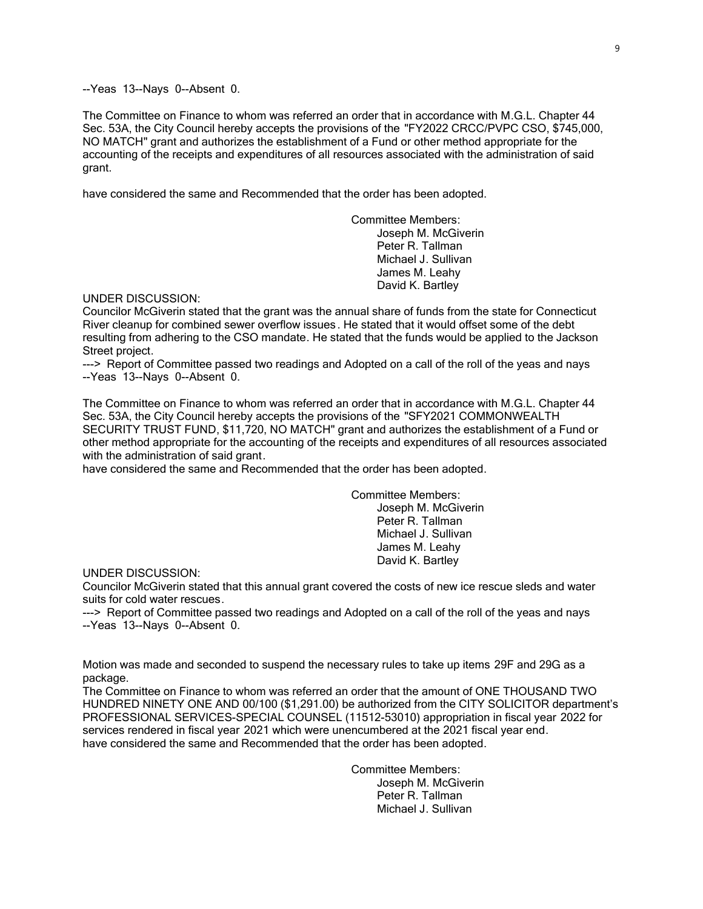--Yeas 13--Nays 0--Absent 0.

The Committee on Finance to whom was referred an order that in accordance with M.G.L. Chapter 44 Sec. 53A, the City Council hereby accepts the provisions of the "FY2022 CRCC/PVPC CSO, \$745,000, NO MATCH" grant and authorizes the establishment of a Fund or other method appropriate for the accounting of the receipts and expenditures of all resources associated with the administration of said grant.

have considered the same and Recommended that the order has been adopted.

Committee Members: Joseph M. McGiverin Peter R. Tallman Michael J. Sullivan James M. Leahy David K. Bartley

UNDER DISCUSSION:

Councilor McGiverin stated that the grant was the annual share of funds from the state for Connecticut River cleanup for combined sewer overflow issues. He stated that it would offset some of the debt resulting from adhering to the CSO mandate. He stated that the funds would be applied to the Jackson Street project.

---> Report of Committee passed two readings and Adopted on a call of the roll of the yeas and nays --Yeas 13--Nays 0--Absent 0.

The Committee on Finance to whom was referred an order that in accordance with M.G.L. Chapter 44 Sec. 53A, the City Council hereby accepts the provisions of the "SFY2021 COMMONWEALTH SECURITY TRUST FUND, \$11,720, NO MATCH" grant and authorizes the establishment of a Fund or other method appropriate for the accounting of the receipts and expenditures of all resources associated with the administration of said grant.

have considered the same and Recommended that the order has been adopted.

Committee Members: Joseph M. McGiverin Peter R. Tallman Michael J. Sullivan James M. Leahy David K. Bartley

UNDER DISCUSSION:

Councilor McGiverin stated that this annual grant covered the costs of new ice rescue sleds and water suits for cold water rescues.

---> Report of Committee passed two readings and Adopted on a call of the roll of the yeas and nays --Yeas 13--Nays 0--Absent 0.

Motion was made and seconded to suspend the necessary rules to take up items 29F and 29G as a package.

The Committee on Finance to whom was referred an order that the amount of ONE THOUSAND TWO HUNDRED NINETY ONE AND 00/100 (\$1,291.00) be authorized from the CITY SOLICITOR department's PROFESSIONAL SERVICES-SPECIAL COUNSEL (11512-53010) appropriation in fiscal year 2022 for services rendered in fiscal year 2021 which were unencumbered at the 2021 fiscal year end. have considered the same and Recommended that the order has been adopted.

> Committee Members: Joseph M. McGiverin Peter R. Tallman Michael J. Sullivan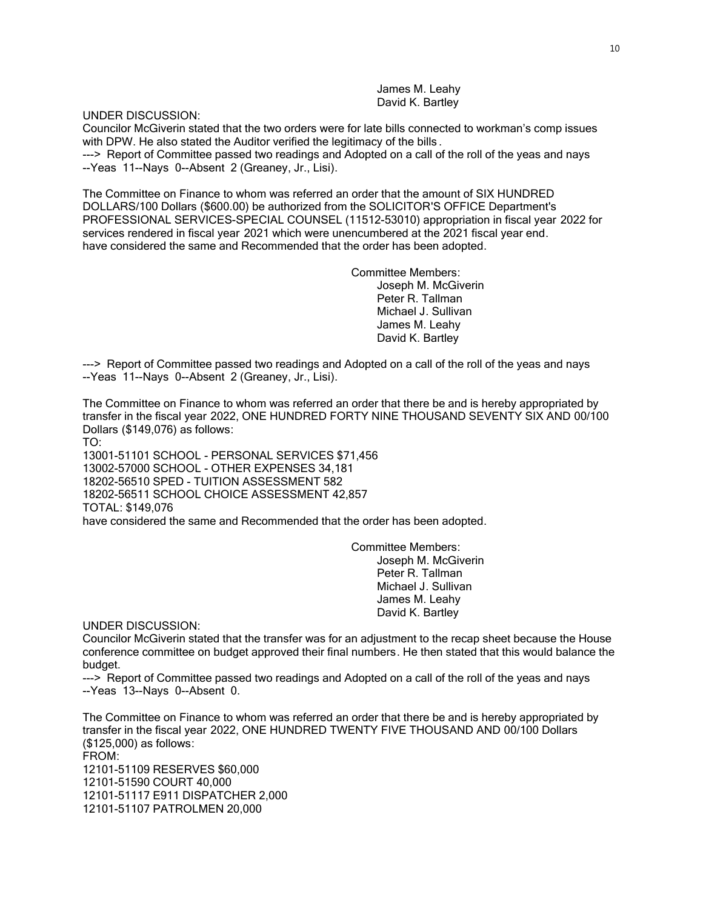James M. Leahy David K. Bartley

UNDER DISCUSSION:

Councilor McGiverin stated that the two orders were for late bills connected to workman's comp issues with DPW. He also stated the Auditor verified the legitimacy of the bills.

---> Report of Committee passed two readings and Adopted on a call of the roll of the yeas and nays --Yeas 11--Nays 0--Absent 2 (Greaney, Jr., Lisi).

The Committee on Finance to whom was referred an order that the amount of SIX HUNDRED DOLLARS/100 Dollars (\$600.00) be authorized from the SOLICITOR'S OFFICE Department's PROFESSIONAL SERVICES-SPECIAL COUNSEL (11512-53010) appropriation in fiscal year 2022 for services rendered in fiscal year 2021 which were unencumbered at the 2021 fiscal year end. have considered the same and Recommended that the order has been adopted.

> Committee Members: Joseph M. McGiverin Peter R. Tallman Michael J. Sullivan James M. Leahy David K. Bartley

---> Report of Committee passed two readings and Adopted on a call of the roll of the yeas and nays --Yeas 11--Nays 0--Absent 2 (Greaney, Jr., Lisi).

The Committee on Finance to whom was referred an order that there be and is hereby appropriated by transfer in the fiscal year 2022, ONE HUNDRED FORTY NINE THOUSAND SEVENTY SIX AND 00/100 Dollars (\$149,076) as follows:

TO:

13001-51101 SCHOOL - PERSONAL SERVICES \$71,456 13002-57000 SCHOOL - OTHER EXPENSES 34,181 18202-56510 SPED - TUITION ASSESSMENT 582 18202-56511 SCHOOL CHOICE ASSESSMENT 42,857 TOTAL: \$149,076 have considered the same and Recommended that the order has been adopted.

> Committee Members: Joseph M. McGiverin Peter R. Tallman Michael J. Sullivan James M. Leahy David K. Bartley

UNDER DISCUSSION:

Councilor McGiverin stated that the transfer was for an adjustment to the recap sheet because the House conference committee on budget approved their final numbers. He then stated that this would balance the budget.

---> Report of Committee passed two readings and Adopted on a call of the roll of the yeas and nays --Yeas 13--Nays 0--Absent 0.

The Committee on Finance to whom was referred an order that there be and is hereby appropriated by transfer in the fiscal year 2022, ONE HUNDRED TWENTY FIVE THOUSAND AND 00/100 Dollars (\$125,000) as follows: FROM: 12101-51109 RESERVES \$60,000 12101-51590 COURT 40,000 12101-51117 E911 DISPATCHER 2,000 12101-51107 PATROLMEN 20,000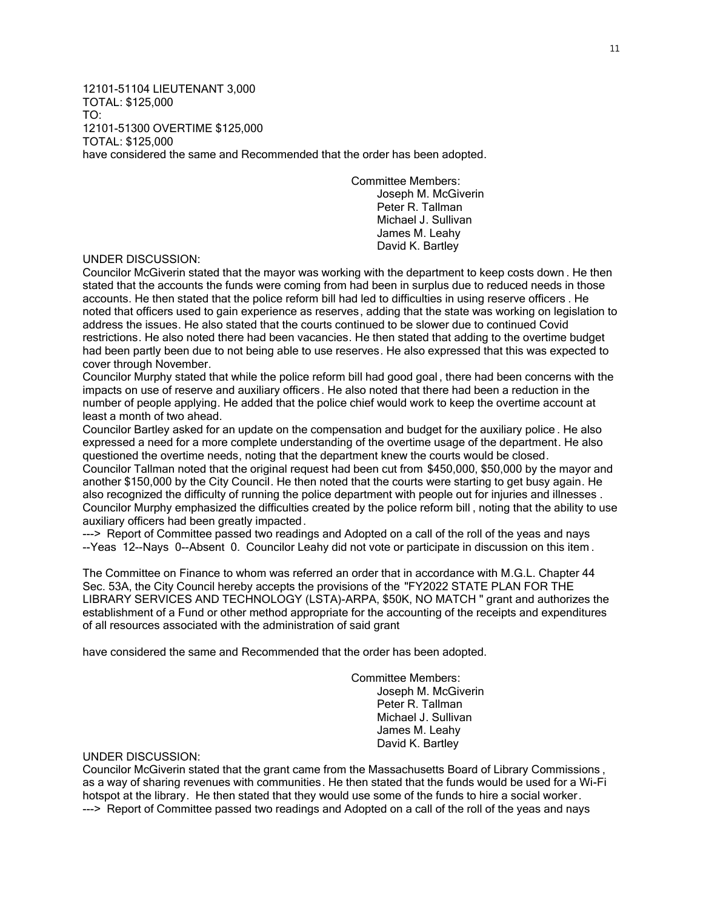12101-51104 LIEUTENANT 3,000 TOTAL: \$125,000 TO: 12101-51300 OVERTIME \$125,000 TOTAL: \$125,000 have considered the same and Recommended that the order has been adopted.

> Committee Members: Joseph M. McGiverin Peter R. Tallman Michael J. Sullivan James M. Leahy David K. Bartley

# UNDER DISCUSSION:

Councilor McGiverin stated that the mayor was working with the department to keep costs down . He then stated that the accounts the funds were coming from had been in surplus due to reduced needs in those accounts. He then stated that the police reform bill had led to difficulties in using reserve officers . He noted that officers used to gain experience as reserves, adding that the state was working on legislation to address the issues. He also stated that the courts continued to be slower due to continued Covid restrictions. He also noted there had been vacancies. He then stated that adding to the overtime budget had been partly been due to not being able to use reserves. He also expressed that this was expected to cover through November.

Councilor Murphy stated that while the police reform bill had good goal , there had been concerns with the impacts on use of reserve and auxiliary officers . He also noted that there had been a reduction in the number of people applying. He added that the police chief would work to keep the overtime account at least a month of two ahead.

Councilor Bartley asked for an update on the compensation and budget for the auxiliary police . He also expressed a need for a more complete understanding of the overtime usage of the department. He also questioned the overtime needs, noting that the department knew the courts would be closed. Councilor Tallman noted that the original request had been cut from \$450,000, \$50,000 by the mayor and

another \$150,000 by the City Council. He then noted that the courts were starting to get busy again. He also recognized the difficulty of running the police department with people out for injuries and illnesses . Councilor Murphy emphasized the difficulties created by the police reform bill , noting that the ability to use auxiliary officers had been greatly impacted.

---> Report of Committee passed two readings and Adopted on a call of the roll of the yeas and nays --Yeas 12--Nays 0--Absent 0. Councilor Leahy did not vote or participate in discussion on this item .

The Committee on Finance to whom was referred an order that in accordance with M.G.L. Chapter 44 Sec. 53A, the City Council hereby accepts the provisions of the "FY2022 STATE PLAN FOR THE LIBRARY SERVICES AND TECHNOLOGY (LSTA)-ARPA, \$50K, NO MATCH " grant and authorizes the establishment of a Fund or other method appropriate for the accounting of the receipts and expenditures of all resources associated with the administration of said grant

have considered the same and Recommended that the order has been adopted.

Committee Members: Joseph M. McGiverin Peter R. Tallman Michael J. Sullivan James M. Leahy David K. Bartley

#### UNDER DISCUSSION:

Councilor McGiverin stated that the grant came from the Massachusetts Board of Library Commissions , as a way of sharing revenues with communities. He then stated that the funds would be used for a Wi-Fi hotspot at the library. He then stated that they would use some of the funds to hire a social worker. ---> Report of Committee passed two readings and Adopted on a call of the roll of the yeas and nays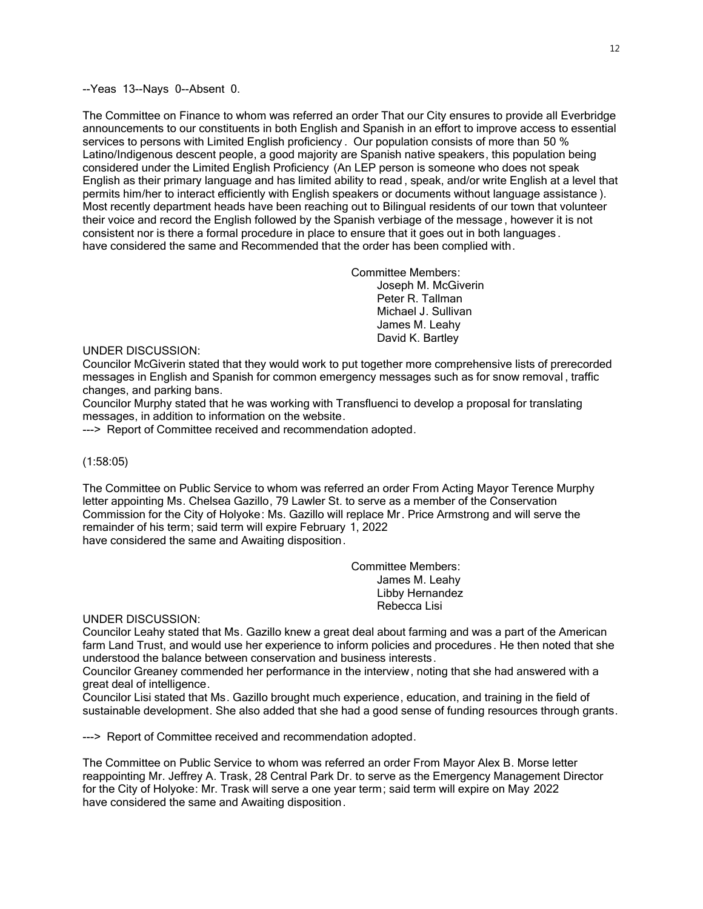--Yeas 13--Nays 0--Absent 0.

The Committee on Finance to whom was referred an order That our City ensures to provide all Everbridge announcements to our constituents in both English and Spanish in an effort to improve access to essential services to persons with Limited English proficiency . Our population consists of more than 50 % Latino/Indigenous descent people, a good majority are Spanish native speakers, this population being considered under the Limited English Proficiency (An LEP person is someone who does not speak English as their primary language and has limited ability to read , speak, and/or write English at a level that permits him/her to interact efficiently with English speakers or documents without language assistance ). Most recently department heads have been reaching out to Bilingual residents of our town that volunteer their voice and record the English followed by the Spanish verbiage of the message , however it is not consistent nor is there a formal procedure in place to ensure that it goes out in both languages . have considered the same and Recommended that the order has been complied with.

> Committee Members: Joseph M. McGiverin Peter R. Tallman Michael J. Sullivan James M. Leahy David K. Bartley

## UNDER DISCUSSION:

Councilor McGiverin stated that they would work to put together more comprehensive lists of prerecorded messages in English and Spanish for common emergency messages such as for snow removal , traffic changes, and parking bans.

Councilor Murphy stated that he was working with Transfluenci to develop a proposal for translating messages, in addition to information on the website.

---> Report of Committee received and recommendation adopted.

### (1:58:05)

The Committee on Public Service to whom was referred an order From Acting Mayor Terence Murphy letter appointing Ms. Chelsea Gazillo, 79 Lawler St. to serve as a member of the Conservation Commission for the City of Holyoke: Ms. Gazillo will replace Mr. Price Armstrong and will serve the remainder of his term; said term will expire February 1, 2022 have considered the same and Awaiting disposition.

> Committee Members: James M. Leahy Libby Hernandez Rebecca Lisi

UNDER DISCUSSION:

Councilor Leahy stated that Ms. Gazillo knew a great deal about farming and was a part of the American farm Land Trust, and would use her experience to inform policies and procedures. He then noted that she understood the balance between conservation and business interests.

Councilor Greaney commended her performance in the interview, noting that she had answered with a great deal of intelligence.

Councilor Lisi stated that Ms. Gazillo brought much experience, education, and training in the field of sustainable development. She also added that she had a good sense of funding resources through grants.

---> Report of Committee received and recommendation adopted.

The Committee on Public Service to whom was referred an order From Mayor Alex B. Morse letter reappointing Mr. Jeffrey A. Trask, 28 Central Park Dr. to serve as the Emergency Management Director for the City of Holyoke: Mr. Trask will serve a one year term; said term will expire on May 2022 have considered the same and Awaiting disposition.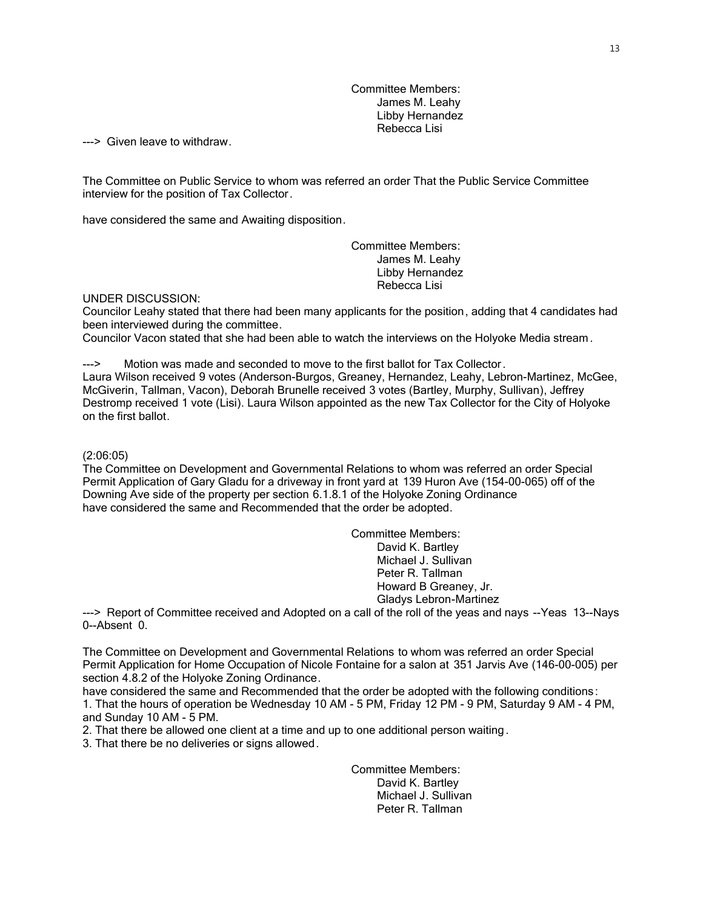Committee Members: James M. Leahy Libby Hernandez Rebecca Lisi

---> Given leave to withdraw.

The Committee on Public Service to whom was referred an order That the Public Service Committee interview for the position of Tax Collector.

have considered the same and Awaiting disposition.

Committee Members: James M. Leahy Libby Hernandez Rebecca Lisi

#### UNDER DISCUSSION:

Councilor Leahy stated that there had been many applicants for the position, adding that 4 candidates had been interviewed during the committee.

Councilor Vacon stated that she had been able to watch the interviews on the Holyoke Media stream .

---> Motion was made and seconded to move to the first ballot for Tax Collector.

Laura Wilson received 9 votes (Anderson-Burgos, Greaney, Hernandez, Leahy, Lebron-Martinez, McGee, McGiverin, Tallman, Vacon), Deborah Brunelle received 3 votes (Bartley, Murphy, Sullivan), Jeffrey Destromp received 1 vote (Lisi). Laura Wilson appointed as the new Tax Collector for the City of Holyoke on the first ballot.

# (2:06:05)

The Committee on Development and Governmental Relations to whom was referred an order Special Permit Application of Gary Gladu for a driveway in front yard at 139 Huron Ave (154-00-065) off of the Downing Ave side of the property per section 6.1.8.1 of the Holyoke Zoning Ordinance have considered the same and Recommended that the order be adopted.

> Committee Members: David K. Bartley Michael J. Sullivan Peter R. Tallman Howard B Greaney, Jr. Gladys Lebron-Martinez

---> Report of Committee received and Adopted on a call of the roll of the yeas and nays --Yeas 13--Nays 0--Absent 0.

The Committee on Development and Governmental Relations to whom was referred an order Special Permit Application for Home Occupation of Nicole Fontaine for a salon at 351 Jarvis Ave (146-00-005) per section 4.8.2 of the Holyoke Zoning Ordinance.

have considered the same and Recommended that the order be adopted with the following conditions: 1. That the hours of operation be Wednesday 10 AM - 5 PM, Friday 12 PM - 9 PM, Saturday 9 AM - 4 PM, and Sunday 10 AM - 5 PM.

2. That there be allowed one client at a time and up to one additional person waiting.

3. That there be no deliveries or signs allowed.

Committee Members: David K. Bartley Michael J. Sullivan Peter R. Tallman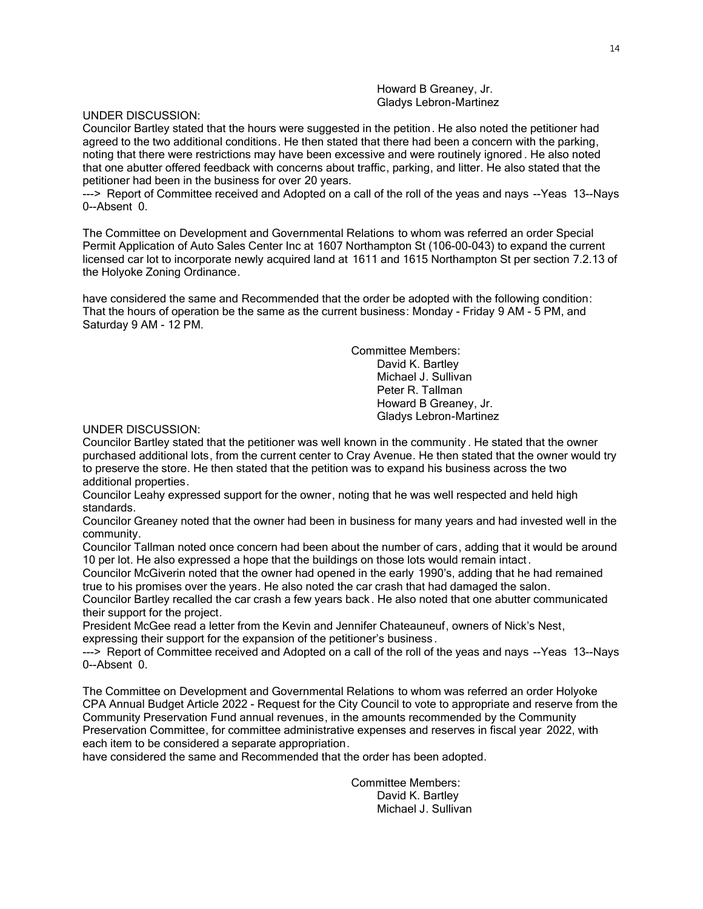Howard B Greaney, Jr. Gladys Lebron-Martinez

UNDER DISCUSSION:

Councilor Bartley stated that the hours were suggested in the petition. He also noted the petitioner had agreed to the two additional conditions. He then stated that there had been a concern with the parking, noting that there were restrictions may have been excessive and were routinely ignored . He also noted that one abutter offered feedback with concerns about traffic, parking, and litter. He also stated that the petitioner had been in the business for over 20 years.

---> Report of Committee received and Adopted on a call of the roll of the yeas and nays --Yeas 13--Nays 0--Absent 0.

The Committee on Development and Governmental Relations to whom was referred an order Special Permit Application of Auto Sales Center Inc at 1607 Northampton St (106-00-043) to expand the current licensed car lot to incorporate newly acquired land at 1611 and 1615 Northampton St per section 7.2.13 of the Holyoke Zoning Ordinance.

have considered the same and Recommended that the order be adopted with the following condition: That the hours of operation be the same as the current business: Monday - Friday 9 AM - 5 PM, and Saturday 9 AM - 12 PM.

> Committee Members: David K. Bartley Michael J. Sullivan Peter R. Tallman Howard B Greaney, Jr. Gladys Lebron-Martinez

### UNDER DISCUSSION:

Councilor Bartley stated that the petitioner was well known in the community . He stated that the owner purchased additional lots, from the current center to Cray Avenue. He then stated that the owner would try to preserve the store. He then stated that the petition was to expand his business across the two additional properties.

Councilor Leahy expressed support for the owner, noting that he was well respected and held high standards.

Councilor Greaney noted that the owner had been in business for many years and had invested well in the community.

Councilor Tallman noted once concern had been about the number of cars, adding that it would be around 10 per lot. He also expressed a hope that the buildings on those lots would remain intact .

Councilor McGiverin noted that the owner had opened in the early 1990's, adding that he had remained true to his promises over the years. He also noted the car crash that had damaged the salon.

Councilor Bartley recalled the car crash a few years back . He also noted that one abutter communicated their support for the project.

President McGee read a letter from the Kevin and Jennifer Chateauneuf, owners of Nick's Nest, expressing their support for the expansion of the petitioner's business .

---> Report of Committee received and Adopted on a call of the roll of the yeas and nays --Yeas 13--Nays 0--Absent 0.

The Committee on Development and Governmental Relations to whom was referred an order Holyoke CPA Annual Budget Article 2022 - Request for the City Council to vote to appropriate and reserve from the Community Preservation Fund annual revenues, in the amounts recommended by the Community Preservation Committee, for committee administrative expenses and reserves in fiscal year 2022, with each item to be considered a separate appropriation.

have considered the same and Recommended that the order has been adopted.

Committee Members: David K. Bartley Michael J. Sullivan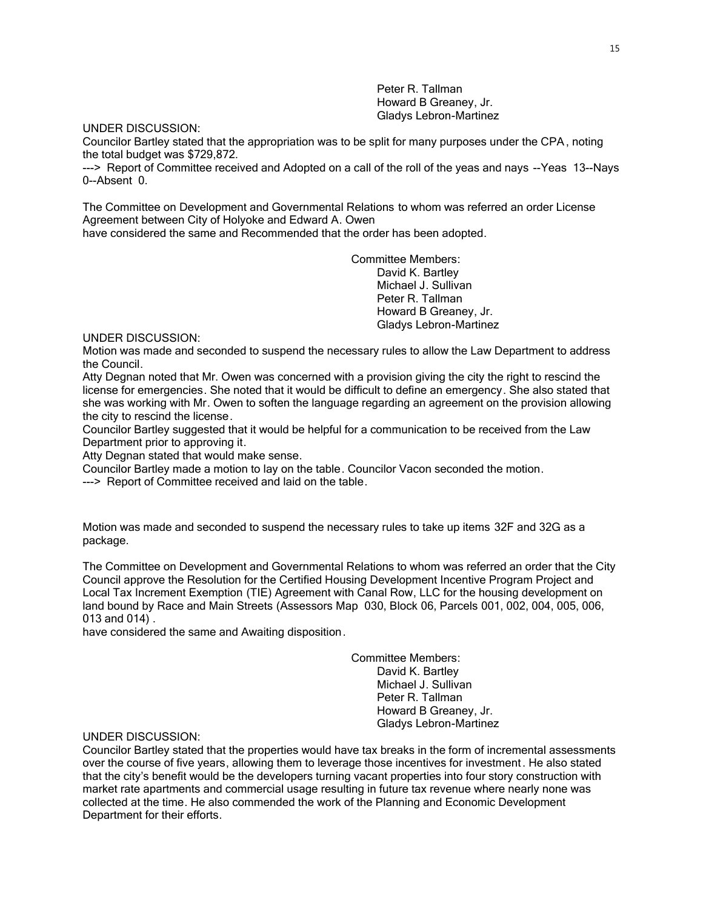Peter R. Tallman Howard B Greaney, Jr. Gladys Lebron-Martinez

#### UNDER DISCUSSION:

Councilor Bartley stated that the appropriation was to be split for many purposes under the CPA , noting the total budget was \$729,872.

---> Report of Committee received and Adopted on a call of the roll of the yeas and nays --Yeas 13--Nays 0--Absent 0.

The Committee on Development and Governmental Relations to whom was referred an order License Agreement between City of Holyoke and Edward A. Owen

have considered the same and Recommended that the order has been adopted.

Committee Members: David K. Bartley Michael J. Sullivan Peter R. Tallman Howard B Greaney, Jr. Gladys Lebron-Martinez

UNDER DISCUSSION:

Motion was made and seconded to suspend the necessary rules to allow the Law Department to address the Council.

Atty Degnan noted that Mr. Owen was concerned with a provision giving the city the right to rescind the license for emergencies. She noted that it would be difficult to define an emergency. She also stated that she was working with Mr. Owen to soften the language regarding an agreement on the provision allowing the city to rescind the license.

Councilor Bartley suggested that it would be helpful for a communication to be received from the Law Department prior to approving it.

Atty Degnan stated that would make sense.

Councilor Bartley made a motion to lay on the table. Councilor Vacon seconded the motion.

---> Report of Committee received and laid on the table.

Motion was made and seconded to suspend the necessary rules to take up items 32F and 32G as a package.

The Committee on Development and Governmental Relations to whom was referred an order that the City Council approve the Resolution for the Certified Housing Development Incentive Program Project and Local Tax Increment Exemption (TIE) Agreement with Canal Row, LLC for the housing development on land bound by Race and Main Streets (Assessors Map 030, Block 06, Parcels 001, 002, 004, 005, 006, 013 and 014) .

have considered the same and Awaiting disposition.

Committee Members:

David K. Bartley Michael J. Sullivan Peter R. Tallman Howard B Greaney, Jr. Gladys Lebron-Martinez

UNDER DISCUSSION:

Councilor Bartley stated that the properties would have tax breaks in the form of incremental assessments over the course of five years, allowing them to leverage those incentives for investment. He also stated that the city's benefit would be the developers turning vacant properties into four story construction with market rate apartments and commercial usage resulting in future tax revenue where nearly none was collected at the time. He also commended the work of the Planning and Economic Development Department for their efforts.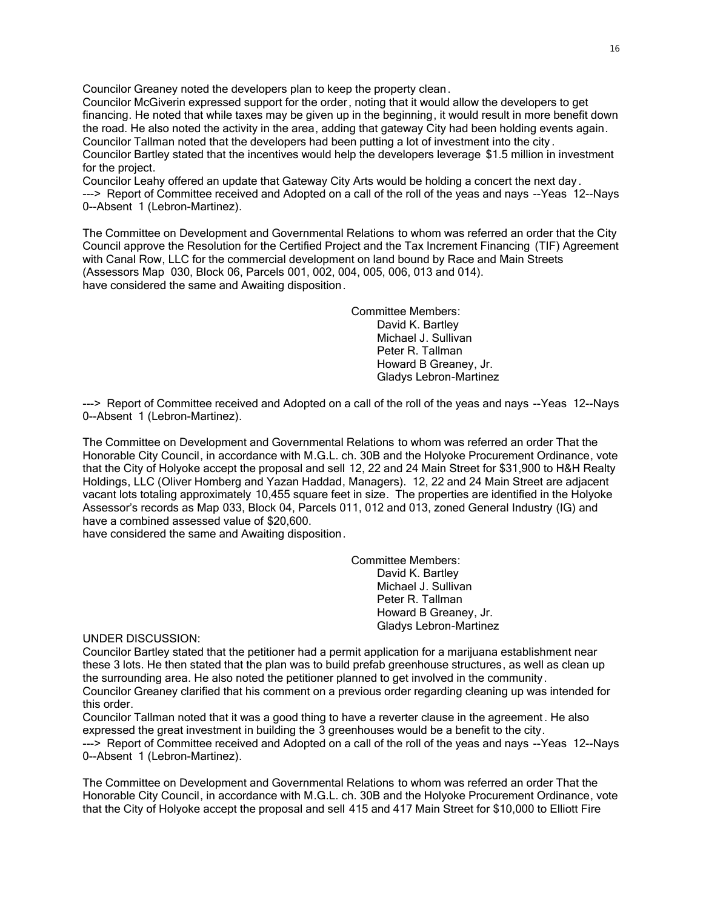Councilor Greaney noted the developers plan to keep the property clean.

Councilor McGiverin expressed support for the order, noting that it would allow the developers to get financing. He noted that while taxes may be given up in the beginning, it would result in more benefit down the road. He also noted the activity in the area, adding that gateway City had been holding events again. Councilor Tallman noted that the developers had been putting a lot of investment into the city . Councilor Bartley stated that the incentives would help the developers leverage \$1.5 million in investment for the project.

Councilor Leahy offered an update that Gateway City Arts would be holding a concert the next day . ---> Report of Committee received and Adopted on a call of the roll of the yeas and nays --Yeas 12--Nays 0--Absent 1 (Lebron-Martinez).

The Committee on Development and Governmental Relations to whom was referred an order that the City Council approve the Resolution for the Certified Project and the Tax Increment Financing (TIF) Agreement with Canal Row, LLC for the commercial development on land bound by Race and Main Streets (Assessors Map 030, Block 06, Parcels 001, 002, 004, 005, 006, 013 and 014). have considered the same and Awaiting disposition.

> Committee Members: David K. Bartley Michael J. Sullivan Peter R. Tallman Howard B Greaney, Jr. Gladys Lebron-Martinez

---> Report of Committee received and Adopted on a call of the roll of the yeas and nays --Yeas 12--Nays 0--Absent 1 (Lebron-Martinez).

The Committee on Development and Governmental Relations to whom was referred an order That the Honorable City Council, in accordance with M.G.L. ch. 30B and the Holyoke Procurement Ordinance, vote that the City of Holyoke accept the proposal and sell 12, 22 and 24 Main Street for \$31,900 to H&H Realty Holdings, LLC (Oliver Homberg and Yazan Haddad, Managers). 12, 22 and 24 Main Street are adjacent vacant lots totaling approximately 10,455 square feet in size. The properties are identified in the Holyoke Assessor's records as Map 033, Block 04, Parcels 011, 012 and 013, zoned General Industry (IG) and have a combined assessed value of \$20,600.

have considered the same and Awaiting disposition.

Committee Members: David K. Bartley Michael J. Sullivan Peter R. Tallman Howard B Greaney, Jr. Gladys Lebron-Martinez

UNDER DISCUSSION:

Councilor Bartley stated that the petitioner had a permit application for a marijuana establishment near these 3 lots. He then stated that the plan was to build prefab greenhouse structures, as well as clean up the surrounding area. He also noted the petitioner planned to get involved in the community. Councilor Greaney clarified that his comment on a previous order regarding cleaning up was intended for this order.

Councilor Tallman noted that it was a good thing to have a reverter clause in the agreement . He also expressed the great investment in building the 3 greenhouses would be a benefit to the city. ---> Report of Committee received and Adopted on a call of the roll of the yeas and nays --Yeas 12--Nays 0--Absent 1 (Lebron-Martinez).

The Committee on Development and Governmental Relations to whom was referred an order That the Honorable City Council, in accordance with M.G.L. ch. 30B and the Holyoke Procurement Ordinance, vote that the City of Holyoke accept the proposal and sell 415 and 417 Main Street for \$10,000 to Elliott Fire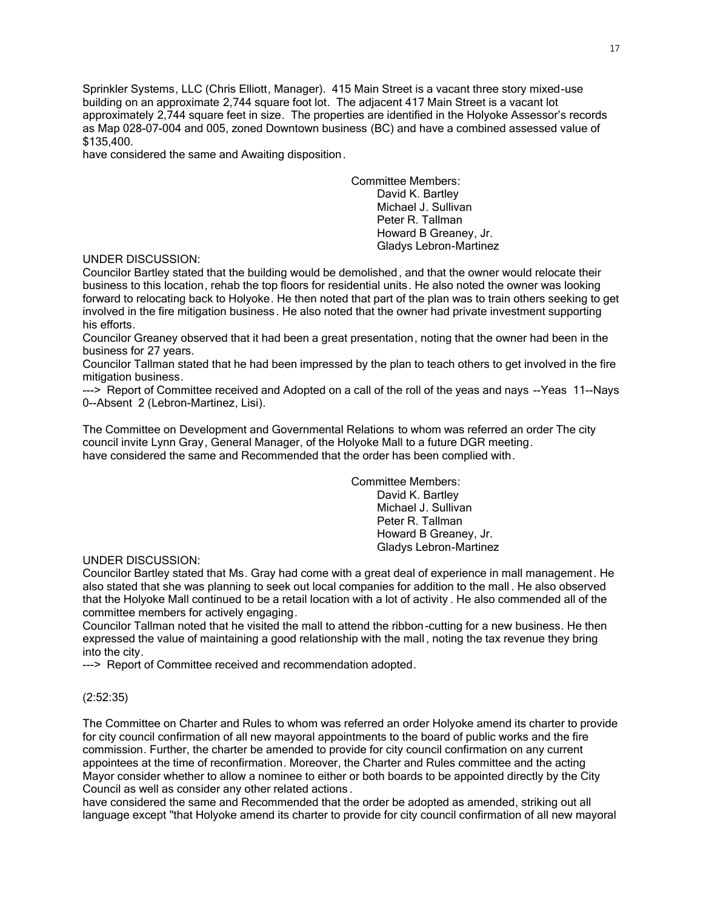Sprinkler Systems, LLC (Chris Elliott, Manager). 415 Main Street is a vacant three story mixed-use building on an approximate 2,744 square foot lot. The adjacent 417 Main Street is a vacant lot approximately 2,744 square feet in size. The properties are identified in the Holyoke Assessor's records as Map 028-07-004 and 005, zoned Downtown business (BC) and have a combined assessed value of \$135,400.

have considered the same and Awaiting disposition.

Committee Members: David K. Bartley Michael J. Sullivan Peter R. Tallman Howard B Greaney, Jr. Gladys Lebron-Martinez

### UNDER DISCUSSION:

Councilor Bartley stated that the building would be demolished , and that the owner would relocate their business to this location, rehab the top floors for residential units. He also noted the owner was looking forward to relocating back to Holyoke. He then noted that part of the plan was to train others seeking to get involved in the fire mitigation business. He also noted that the owner had private investment supporting his efforts.

Councilor Greaney observed that it had been a great presentation, noting that the owner had been in the business for 27 years.

Councilor Tallman stated that he had been impressed by the plan to teach others to get involved in the fire mitigation business.

---> Report of Committee received and Adopted on a call of the roll of the yeas and nays --Yeas 11--Nays 0--Absent 2 (Lebron-Martinez, Lisi).

The Committee on Development and Governmental Relations to whom was referred an order The city council invite Lynn Gray, General Manager, of the Holyoke Mall to a future DGR meeting. have considered the same and Recommended that the order has been complied with.

Committee Members:

David K. Bartley Michael J. Sullivan Peter R. Tallman Howard B Greaney, Jr. Gladys Lebron-Martinez

#### UNDER DISCUSSION:

Councilor Bartley stated that Ms. Gray had come with a great deal of experience in mall management. He also stated that she was planning to seek out local companies for addition to the mall . He also observed that the Holyoke Mall continued to be a retail location with a lot of activity . He also commended all of the committee members for actively engaging.

Councilor Tallman noted that he visited the mall to attend the ribbon-cutting for a new business. He then expressed the value of maintaining a good relationship with the mall , noting the tax revenue they bring into the city.

---> Report of Committee received and recommendation adopted.

# (2:52:35)

The Committee on Charter and Rules to whom was referred an order Holyoke amend its charter to provide for city council confirmation of all new mayoral appointments to the board of public works and the fire commission. Further, the charter be amended to provide for city council confirmation on any current appointees at the time of reconfirmation. Moreover, the Charter and Rules committee and the acting Mayor consider whether to allow a nominee to either or both boards to be appointed directly by the City Council as well as consider any other related actions .

have considered the same and Recommended that the order be adopted as amended, striking out all language except "that Holyoke amend its charter to provide for city council confirmation of all new mayoral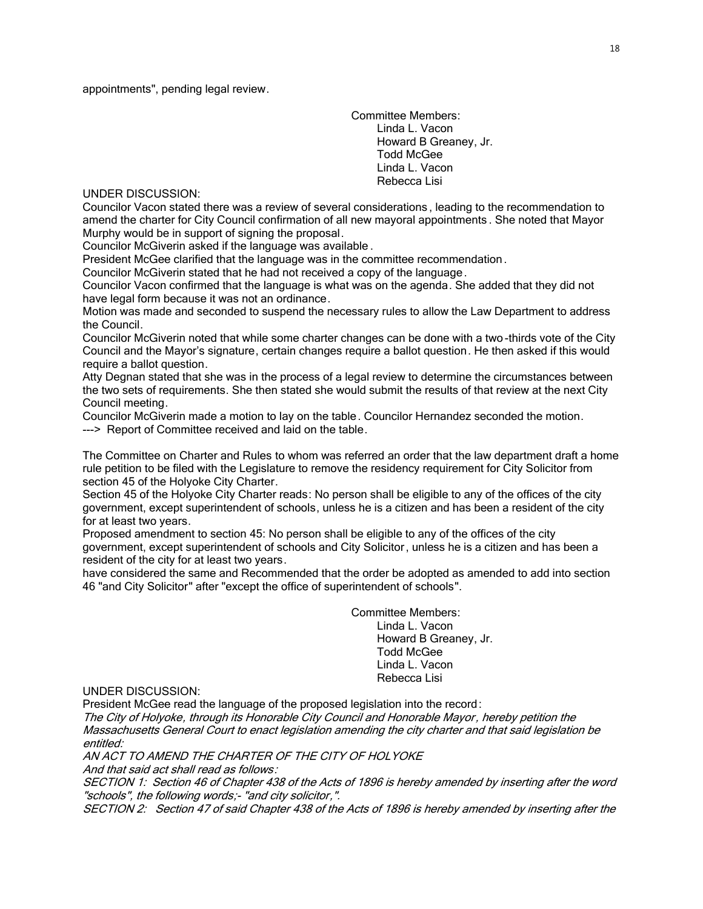appointments", pending legal review.

Committee Members: Linda L. Vacon Howard B Greaney, Jr. Todd McGee Linda L. Vacon Rebecca Lisi

UNDER DISCUSSION:

Councilor Vacon stated there was a review of several considerations , leading to the recommendation to amend the charter for City Council confirmation of all new mayoral appointments . She noted that Mayor Murphy would be in support of signing the proposal.

Councilor McGiverin asked if the language was available .

President McGee clarified that the language was in the committee recommendation .

Councilor McGiverin stated that he had not received a copy of the language.

Councilor Vacon confirmed that the language is what was on the agenda. She added that they did not have legal form because it was not an ordinance.

Motion was made and seconded to suspend the necessary rules to allow the Law Department to address the Council.

Councilor McGiverin noted that while some charter changes can be done with a two -thirds vote of the City Council and the Mayor's signature, certain changes require a ballot question. He then asked if this would require a ballot question.

Atty Degnan stated that she was in the process of a legal review to determine the circumstances between the two sets of requirements. She then stated she would submit the results of that review at the next City Council meeting.

Councilor McGiverin made a motion to lay on the table. Councilor Hernandez seconded the motion. ---> Report of Committee received and laid on the table.

The Committee on Charter and Rules to whom was referred an order that the law department draft a home rule petition to be filed with the Legislature to remove the residency requirement for City Solicitor from section 45 of the Holyoke City Charter.

Section 45 of the Holyoke City Charter reads: No person shall be eligible to any of the offices of the city government, except superintendent of schools, unless he is a citizen and has been a resident of the city for at least two years.

Proposed amendment to section 45: No person shall be eligible to any of the offices of the city government, except superintendent of schools and City Solicitor, unless he is a citizen and has been a resident of the city for at least two years.

have considered the same and Recommended that the order be adopted as amended to add into section 46 "and City Solicitor" after "except the office of superintendent of schools".

> Committee Members: Linda L. Vacon Howard B Greaney, Jr. Todd McGee Linda L. Vacon Rebecca Lisi

UNDER DISCUSSION:

President McGee read the language of the proposed legislation into the record:

The City of Holyoke, through its Honorable City Council and Honorable Mayor, hereby petition the Massachusetts General Court to enact legislation amending the city charter and that said legislation be entitled:

AN ACT TO AMEND THE CHARTER OF THE CITY OF HOLYOKE

And that said act shall read as follows:

SECTION 1: Section 46 of Chapter 438 of the Acts of 1896 is hereby amended by inserting after the word "schools", the following words;- "and city solicitor,".

SECTION 2: Section 47 of said Chapter 438 of the Acts of 1896 is hereby amended by inserting after the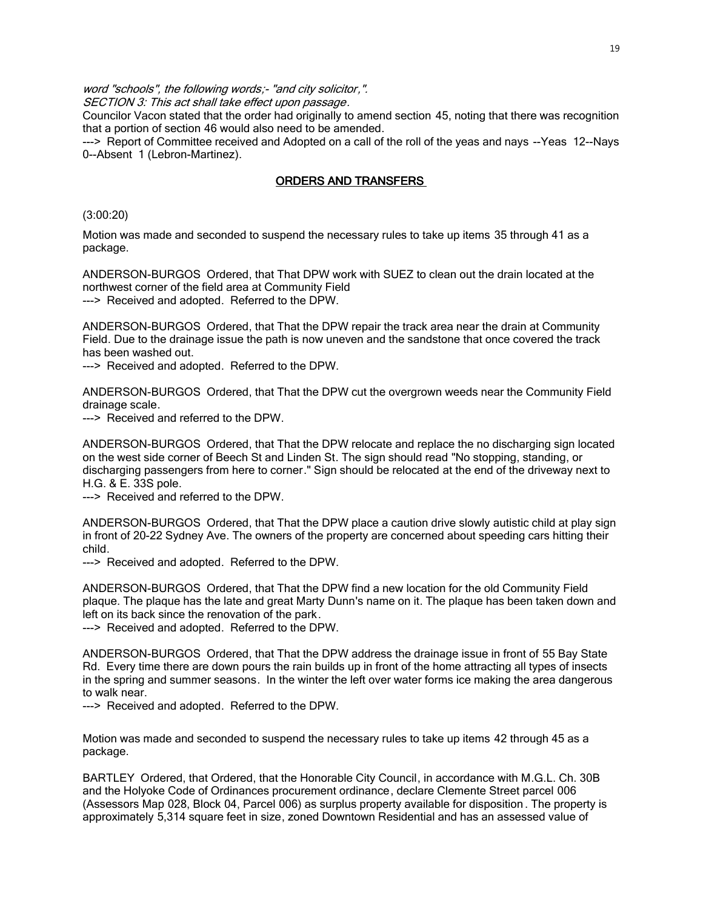word "schools", the following words;- "and city solicitor,".

SECTION 3: This act shall take effect upon passage.

Councilor Vacon stated that the order had originally to amend section 45, noting that there was recognition that a portion of section 46 would also need to be amended.

---> Report of Committee received and Adopted on a call of the roll of the yeas and nays --Yeas 12--Nays 0--Absent 1 (Lebron-Martinez).

# ORDERS AND TRANSFERS

(3:00:20)

Motion was made and seconded to suspend the necessary rules to take up items 35 through 41 as a package.

ANDERSON-BURGOS Ordered, that That DPW work with SUEZ to clean out the drain located at the northwest corner of the field area at Community Field ---> Received and adopted. Referred to the DPW.

ANDERSON-BURGOS Ordered, that That the DPW repair the track area near the drain at Community Field. Due to the drainage issue the path is now uneven and the sandstone that once covered the track has been washed out.

---> Received and adopted. Referred to the DPW.

ANDERSON-BURGOS Ordered, that That the DPW cut the overgrown weeds near the Community Field drainage scale.

---> Received and referred to the DPW.

ANDERSON-BURGOS Ordered, that That the DPW relocate and replace the no discharging sign located on the west side corner of Beech St and Linden St. The sign should read "No stopping, standing, or discharging passengers from here to corner." Sign should be relocated at the end of the driveway next to H.G. & E. 33S pole.

---> Received and referred to the DPW.

ANDERSON-BURGOS Ordered, that That the DPW place a caution drive slowly autistic child at play sign in front of 20-22 Sydney Ave. The owners of the property are concerned about speeding cars hitting their child.

---> Received and adopted. Referred to the DPW.

ANDERSON-BURGOS Ordered, that That the DPW find a new location for the old Community Field plaque. The plaque has the late and great Marty Dunn's name on it. The plaque has been taken down and left on its back since the renovation of the park.

---> Received and adopted. Referred to the DPW.

ANDERSON-BURGOS Ordered, that That the DPW address the drainage issue in front of 55 Bay State Rd. Every time there are down pours the rain builds up in front of the home attracting all types of insects in the spring and summer seasons. In the winter the left over water forms ice making the area dangerous to walk near.

---> Received and adopted. Referred to the DPW.

Motion was made and seconded to suspend the necessary rules to take up items 42 through 45 as a package.

BARTLEY Ordered, that Ordered, that the Honorable City Council, in accordance with M.G.L. Ch. 30B and the Holyoke Code of Ordinances procurement ordinance, declare Clemente Street parcel 006 (Assessors Map 028, Block 04, Parcel 006) as surplus property available for disposition . The property is approximately 5,314 square feet in size, zoned Downtown Residential and has an assessed value of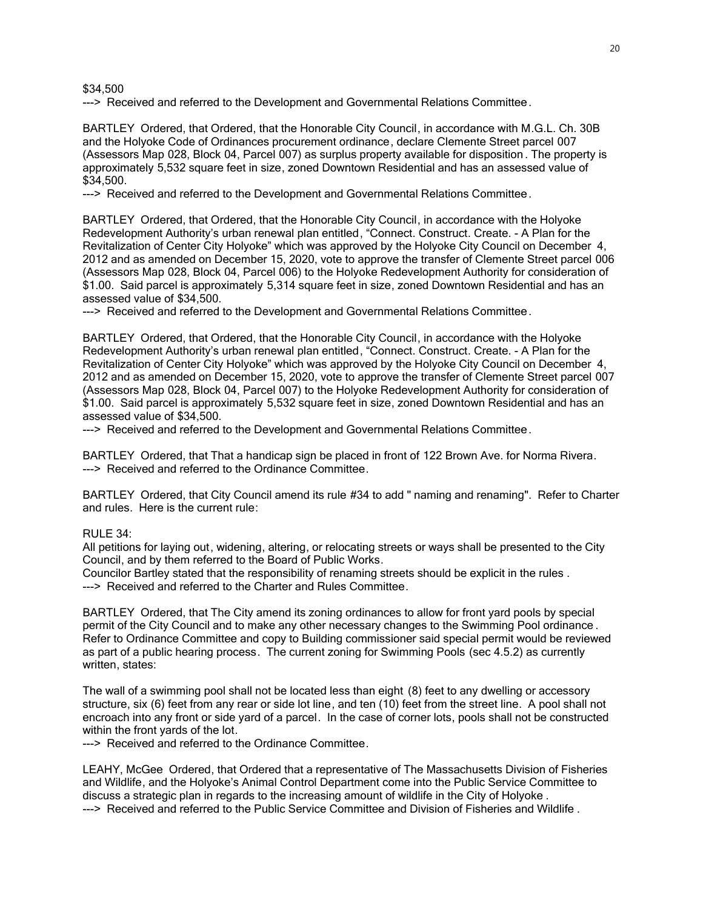\$34,500

---> Received and referred to the Development and Governmental Relations Committee.

BARTLEY Ordered, that Ordered, that the Honorable City Council, in accordance with M.G.L. Ch. 30B and the Holyoke Code of Ordinances procurement ordinance, declare Clemente Street parcel 007 (Assessors Map 028, Block 04, Parcel 007) as surplus property available for disposition . The property is approximately 5,532 square feet in size, zoned Downtown Residential and has an assessed value of \$34,500.

---> Received and referred to the Development and Governmental Relations Committee.

BARTLEY Ordered, that Ordered, that the Honorable City Council, in accordance with the Holyoke Redevelopment Authority's urban renewal plan entitled, "Connect. Construct. Create. - A Plan for the Revitalization of Center City Holyoke" which was approved by the Holyoke City Council on December 4, 2012 and as amended on December 15, 2020, vote to approve the transfer of Clemente Street parcel 006 (Assessors Map 028, Block 04, Parcel 006) to the Holyoke Redevelopment Authority for consideration of \$1.00. Said parcel is approximately 5,314 square feet in size, zoned Downtown Residential and has an assessed value of \$34,500.

---> Received and referred to the Development and Governmental Relations Committee.

BARTLEY Ordered, that Ordered, that the Honorable City Council, in accordance with the Holyoke Redevelopment Authority's urban renewal plan entitled, "Connect. Construct. Create. - A Plan for the Revitalization of Center City Holyoke" which was approved by the Holyoke City Council on December 4, 2012 and as amended on December 15, 2020, vote to approve the transfer of Clemente Street parcel 007 (Assessors Map 028, Block 04, Parcel 007) to the Holyoke Redevelopment Authority for consideration of \$1.00. Said parcel is approximately 5,532 square feet in size, zoned Downtown Residential and has an assessed value of \$34,500.

---> Received and referred to the Development and Governmental Relations Committee.

BARTLEY Ordered, that That a handicap sign be placed in front of 122 Brown Ave. for Norma Rivera. ---> Received and referred to the Ordinance Committee.

BARTLEY Ordered, that City Council amend its rule #34 to add " naming and renaming". Refer to Charter and rules. Here is the current rule:

#### $RULE 34$ :

All petitions for laying out, widening, altering, or relocating streets or ways shall be presented to the City Council, and by them referred to the Board of Public Works.

Councilor Bartley stated that the responsibility of renaming streets should be explicit in the rules . ---> Received and referred to the Charter and Rules Committee.

BARTLEY Ordered, that The City amend its zoning ordinances to allow for front yard pools by special permit of the City Council and to make any other necessary changes to the Swimming Pool ordinance . Refer to Ordinance Committee and copy to Building commissioner said special permit would be reviewed as part of a public hearing process. The current zoning for Swimming Pools (sec 4.5.2) as currently written, states:

The wall of a swimming pool shall not be located less than eight (8) feet to any dwelling or accessory structure, six (6) feet from any rear or side lot line, and ten (10) feet from the street line. A pool shall not encroach into any front or side yard of a parcel. In the case of corner lots, pools shall not be constructed within the front yards of the lot.

---> Received and referred to the Ordinance Committee.

LEAHY, McGee Ordered, that Ordered that a representative of The Massachusetts Division of Fisheries and Wildlife, and the Holyoke's Animal Control Department come into the Public Service Committee to discuss a strategic plan in regards to the increasing amount of wildlife in the City of Holyoke . ---> Received and referred to the Public Service Committee and Division of Fisheries and Wildlife .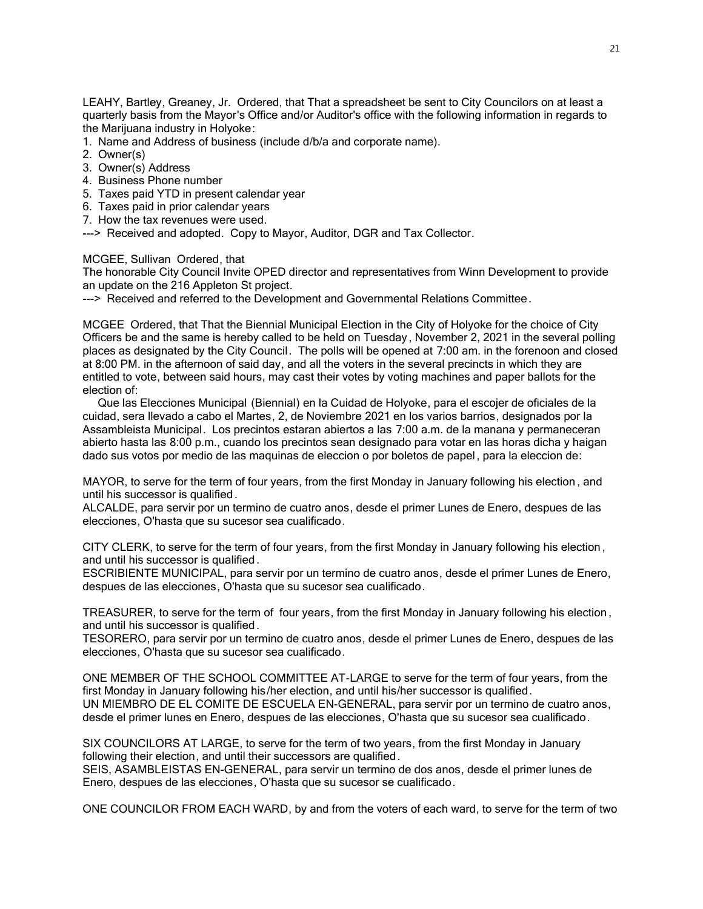LEAHY, Bartley, Greaney, Jr. Ordered, that That a spreadsheet be sent to City Councilors on at least a quarterly basis from the Mayor's Office and/or Auditor's office with the following information in regards to the Marijuana industry in Holyoke:

- 1. Name and Address of business (include d/b/a and corporate name).
- 2. Owner(s)
- 3. Owner(s) Address
- 4. Business Phone number
- 5. Taxes paid YTD in present calendar year
- 6. Taxes paid in prior calendar years
- 7. How the tax revenues were used.
- ---> Received and adopted. Copy to Mayor, Auditor, DGR and Tax Collector.

### MCGEE, Sullivan Ordered, that

The honorable City Council Invite OPED director and representatives from Winn Development to provide an update on the 216 Appleton St project.

---> Received and referred to the Development and Governmental Relations Committee.

MCGEE Ordered, that That the Biennial Municipal Election in the City of Holyoke for the choice of City Officers be and the same is hereby called to be held on Tuesday, November 2, 2021 in the several polling places as designated by the City Council. The polls will be opened at 7:00 am. in the forenoon and closed at 8:00 PM. in the afternoon of said day, and all the voters in the several precincts in which they are entitled to vote, between said hours, may cast their votes by voting machines and paper ballots for the election of:

 Que las Elecciones Municipal (Biennial) en la Cuidad de Holyoke, para el escojer de oficiales de la cuidad, sera llevado a cabo el Martes, 2, de Noviembre 2021 en los varios barrios, designados por la Assambleista Municipal. Los precintos estaran abiertos a las 7:00 a.m. de la manana y permaneceran abierto hasta las 8:00 p.m., cuando los precintos sean designado para votar en las horas dicha y haigan dado sus votos por medio de las maquinas de eleccion o por boletos de papel, para la eleccion de:

MAYOR, to serve for the term of four years, from the first Monday in January following his election , and until his successor is qualified .

ALCALDE, para servir por un termino de cuatro anos, desde el primer Lunes de Enero, despues de las elecciones, O'hasta que su sucesor sea cualificado.

CITY CLERK, to serve for the term of four years, from the first Monday in January following his election , and until his successor is qualified .

ESCRIBIENTE MUNICIPAL, para servir por un termino de cuatro anos, desde el primer Lunes de Enero, despues de las elecciones, O'hasta que su sucesor sea cualificado.

TREASURER, to serve for the term of four years, from the first Monday in January following his election , and until his successor is qualified .

TESORERO, para servir por un termino de cuatro anos, desde el primer Lunes de Enero, despues de las elecciones, O'hasta que su sucesor sea cualificado.

ONE MEMBER OF THE SCHOOL COMMITTEE AT-LARGE to serve for the term of four years, from the first Monday in January following his/her election, and until his/her successor is qualified. UN MIEMBRO DE EL COMITE DE ESCUELA EN-GENERAL, para servir por un termino de cuatro anos, desde el primer lunes en Enero, despues de las elecciones, O'hasta que su sucesor sea cualificado.

SIX COUNCILORS AT LARGE, to serve for the term of two years, from the first Monday in January following their election, and until their successors are qualified.

SEIS, ASAMBLEISTAS EN-GENERAL, para servir un termino de dos anos, desde el primer lunes de Enero, despues de las elecciones, O'hasta que su sucesor se cualificado.

ONE COUNCILOR FROM EACH WARD, by and from the voters of each ward, to serve for the term of two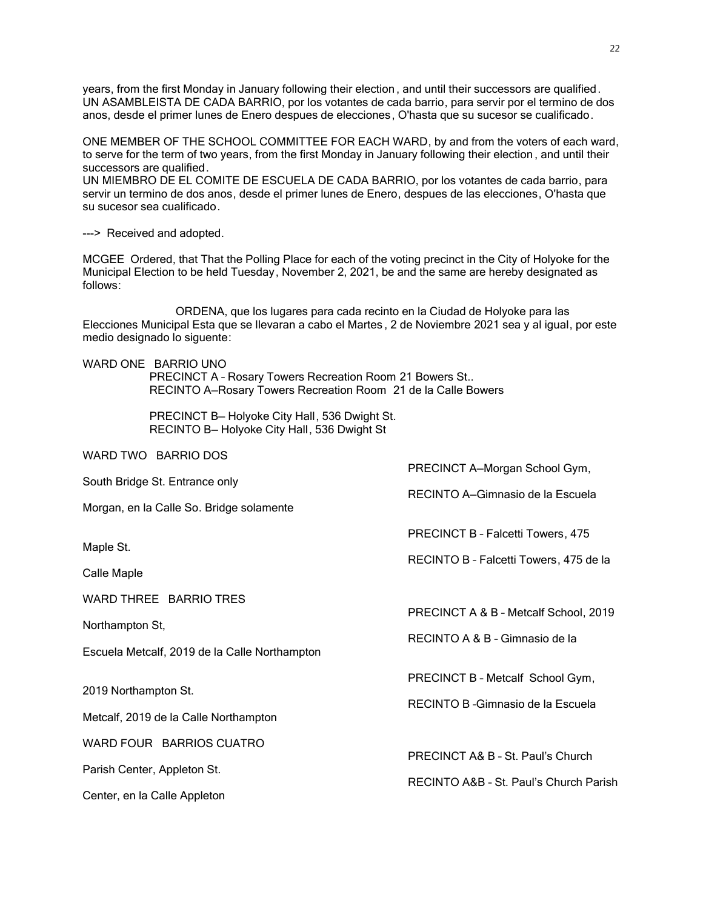years, from the first Monday in January following their election , and until their successors are qualified. UN ASAMBLEISTA DE CADA BARRIO, por los votantes de cada barrio, para servir por el termino de dos anos, desde el primer lunes de Enero despues de elecciones, O'hasta que su sucesor se cualificado.

ONE MEMBER OF THE SCHOOL COMMITTEE FOR EACH WARD, by and from the voters of each ward, to serve for the term of two years, from the first Monday in January following their election , and until their successors are qualified.

UN MIEMBRO DE EL COMITE DE ESCUELA DE CADA BARRIO, por los votantes de cada barrio, para servir un termino de dos anos, desde el primer lunes de Enero, despues de las elecciones, O'hasta que su sucesor sea cualificado.

---> Received and adopted.

MCGEE Ordered, that That the Polling Place for each of the voting precinct in the City of Holyoke for the Municipal Election to be held Tuesday, November 2, 2021, be and the same are hereby designated as follows:

ORDENA, que los lugares para cada recinto en la Ciudad de Holyoke para las Elecciones Municipal Esta que se llevaran a cabo el Martes , 2 de Noviembre 2021 sea y al igual, por este medio designado lo siguente:

WARD ONE BARRIO UNO PRECINCT A – Rosary Towers Recreation Room 21 Bowers St.. RECINTO A—Rosary Towers Recreation Room 21 de la Calle Bowers

> PRECINCT B— Holyoke City Hall, 536 Dwight St. RECINTO B— Holyoke City Hall, 536 Dwight St

| WARD TWO BARRIO DOS                           |                                        |  |
|-----------------------------------------------|----------------------------------------|--|
| South Bridge St. Entrance only                | PRECINCT A-Morgan School Gym,          |  |
| Morgan, en la Calle So. Bridge solamente      | RECINTO A-Gimnasio de la Escuela       |  |
|                                               | PRECINCT B - Falcetti Towers, 475      |  |
| Maple St.                                     | RECINTO B - Falcetti Towers, 475 de la |  |
| Calle Maple                                   |                                        |  |
| WARD THREE BARRIO TRES                        |                                        |  |
| Northampton St,                               | PRECINCT A & B - Metcalf School, 2019  |  |
| Escuela Metcalf, 2019 de la Calle Northampton | RECINTO A & B - Gimnasio de la         |  |
|                                               | PRECINCT B - Metcalf School Gym,       |  |
| 2019 Northampton St.                          | RECINTO B - Gimnasio de la Escuela     |  |
| Metcalf, 2019 de la Calle Northampton         |                                        |  |
| WARD FOUR BARRIOS CUATRO                      |                                        |  |
| Parish Center, Appleton St.                   | PRECINCT A& B - St. Paul's Church      |  |
| Center, en la Calle Appleton                  | RECINTO A&B - St. Paul's Church Parish |  |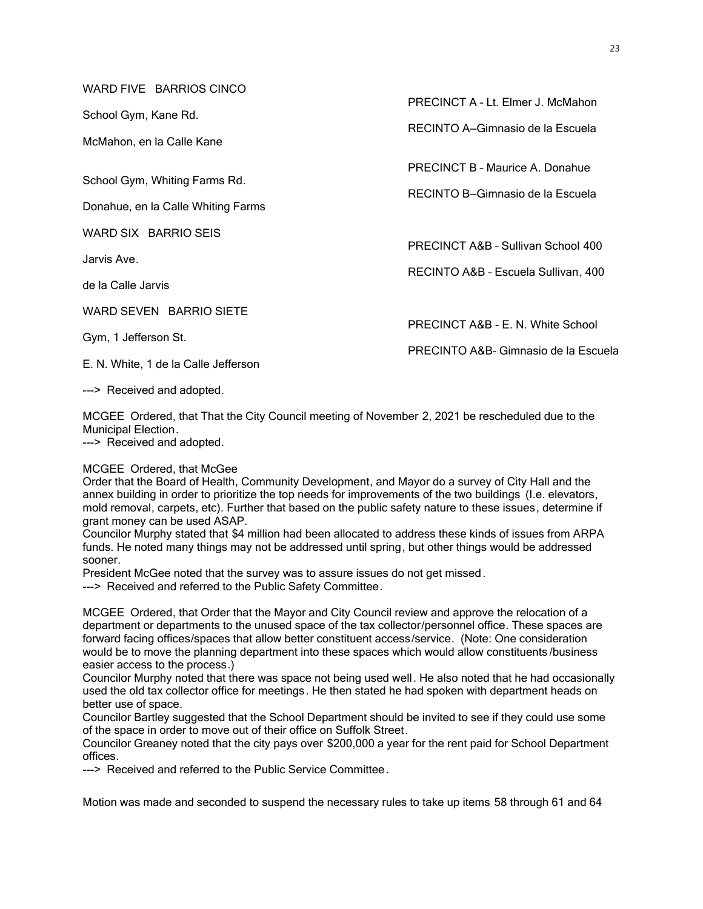WARD FIVE BARRIOS CINCO

School Gym, Kane Rd.

McMahon, en la Calle Kane

School Gym, Whiting Farms Rd.

Donahue, en la Calle Whiting Farms

WARD SIX BARRIO SEIS

Jarvis Ave.

de la Calle Jarvis

WARD SEVEN BARRIO SIETE

Gym, 1 Jefferson St.

E. N. White, 1 de la Calle Jefferson

---> Received and adopted.

MCGEE Ordered, that That the City Council meeting of November 2, 2021 be rescheduled due to the Municipal Election.

---> Received and adopted.

#### MCGEE Ordered, that McGee

Order that the Board of Health, Community Development, and Mayor do a survey of City Hall and the annex building in order to prioritize the top needs for improvements of the two buildings (I.e. elevators, mold removal, carpets, etc). Further that based on the public safety nature to these issues, determine if grant money can be used ASAP.

Councilor Murphy stated that \$4 million had been allocated to address these kinds of issues from ARPA funds. He noted many things may not be addressed until spring, but other things would be addressed sooner.

President McGee noted that the survey was to assure issues do not get missed.

---> Received and referred to the Public Safety Committee.

MCGEE Ordered, that Order that the Mayor and City Council review and approve the relocation of a department or departments to the unused space of the tax collector/personnel office. These spaces are forward facing offices/spaces that allow better constituent access/service. (Note: One consideration would be to move the planning department into these spaces which would allow constituents /business easier access to the process.)

Councilor Murphy noted that there was space not being used well. He also noted that he had occasionally used the old tax collector office for meetings. He then stated he had spoken with department heads on better use of space.

Councilor Bartley suggested that the School Department should be invited to see if they could use some of the space in order to move out of their office on Suffolk Street.

Councilor Greaney noted that the city pays over \$200,000 a year for the rent paid for School Department offices.

---> Received and referred to the Public Service Committee.

Motion was made and seconded to suspend the necessary rules to take up items 58 through 61 and 64

PRECINCT A – Lt. Elmer J. McMahon

RECINTO A—Gimnasio de la Escuela

PRECINCT B – Maurice A. Donahue

RECINTO B—Gimnasio de la Escuela

PRECINCT A&B – Sullivan School 400

RECINTO A&B – Escuela Sullivan, 400

PRECINCT A&B - E. N. White School

PRECINTO A&B– Gimnasio de la Escuela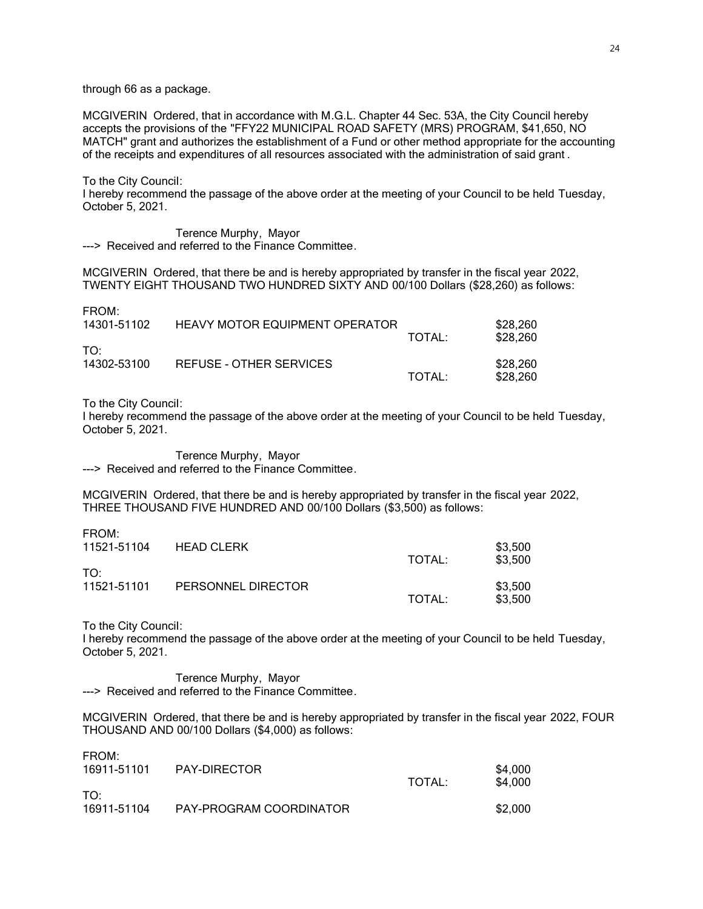through 66 as a package.

MCGIVERIN Ordered, that in accordance with M.G.L. Chapter 44 Sec. 53A, the City Council hereby accepts the provisions of the "FFY22 MUNICIPAL ROAD SAFETY (MRS) PROGRAM, \$41,650, NO MATCH" grant and authorizes the establishment of a Fund or other method appropriate for the accounting of the receipts and expenditures of all resources associated with the administration of said grant .

To the City Council:

I hereby recommend the passage of the above order at the meeting of your Council to be held Tuesday, October 5, 2021.

Terence Murphy, Mayor ---> Received and referred to the Finance Committee.

MCGIVERIN Ordered, that there be and is hereby appropriated by transfer in the fiscal year 2022, TWENTY EIGHT THOUSAND TWO HUNDRED SIXTY AND 00/100 Dollars (\$28,260) as follows:

| FROM:<br>14301-51102 | <b>HEAVY MOTOR EQUIPMENT OPERATOR</b> | TOTAL: | \$28,260<br>\$28,260 |
|----------------------|---------------------------------------|--------|----------------------|
| TO:<br>14302-53100   | REFUSE - OTHER SERVICES               | TOTAL: | \$28,260<br>\$28,260 |

To the City Council:

I hereby recommend the passage of the above order at the meeting of your Council to be held Tuesday, October 5, 2021.

Terence Murphy, Mayor ---> Received and referred to the Finance Committee.

MCGIVERIN Ordered, that there be and is hereby appropriated by transfer in the fiscal year 2022, THREE THOUSAND FIVE HUNDRED AND 00/100 Dollars (\$3,500) as follows:

| .<br>11521-51104               | <b>HEAD CLERK</b>  | TOTAL: | \$3,500<br>\$3,500 |
|--------------------------------|--------------------|--------|--------------------|
| TO <sup>.</sup><br>11521-51101 | PERSONNEL DIRECTOR | TOTAL: | \$3,500<br>\$3,500 |

To the City Council:

FROM:

I hereby recommend the passage of the above order at the meeting of your Council to be held Tuesday, October 5, 2021.

Terence Murphy, Mayor ---> Received and referred to the Finance Committee.

MCGIVERIN Ordered, that there be and is hereby appropriated by transfer in the fiscal year 2022, FOUR THOUSAND AND 00/100 Dollars (\$4,000) as follows:

| FROM:       |                         |        |         |
|-------------|-------------------------|--------|---------|
| 16911-51101 | PAY-DIRECTOR            |        | \$4,000 |
|             |                         | TOTAL: | \$4,000 |
| TO:         |                         |        |         |
| 16911-51104 | PAY-PROGRAM COORDINATOR |        | \$2,000 |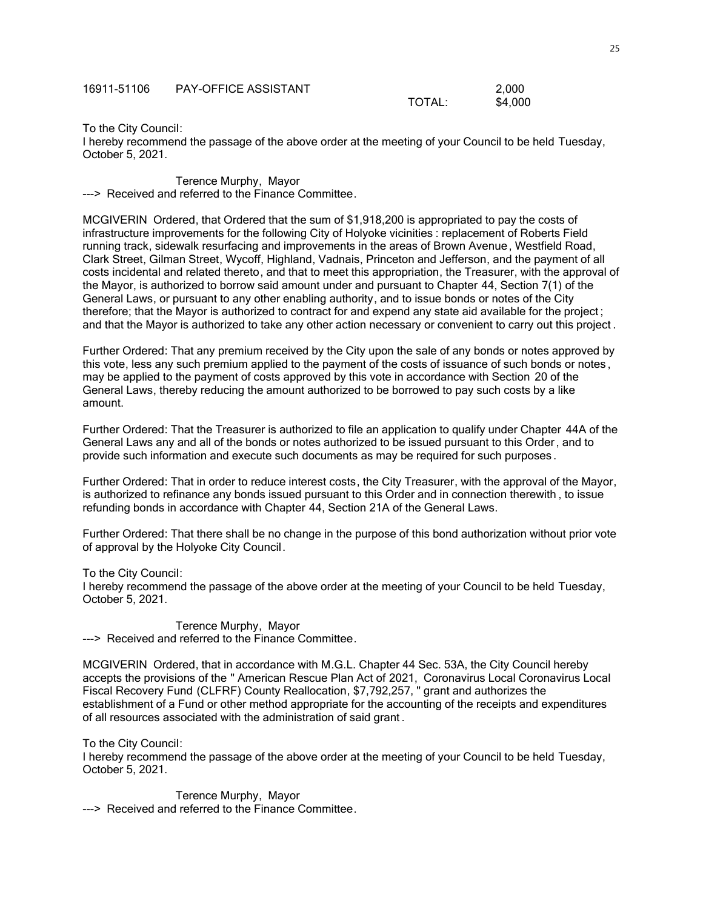| 16911-51106 | <b>PAY-OFFICE ASSISTANT</b> |        | 2.000   |
|-------------|-----------------------------|--------|---------|
|             |                             | TOTAL: | \$4,000 |

#### To the City Council:

I hereby recommend the passage of the above order at the meeting of your Council to be held Tuesday, October 5, 2021.

Terence Murphy, Mayor ---> Received and referred to the Finance Committee.

MCGIVERIN Ordered, that Ordered that the sum of \$1,918,200 is appropriated to pay the costs of infrastructure improvements for the following City of Holyoke vicinities : replacement of Roberts Field running track, sidewalk resurfacing and improvements in the areas of Brown Avenue, Westfield Road, Clark Street, Gilman Street, Wycoff, Highland, Vadnais, Princeton and Jefferson, and the payment of all costs incidental and related thereto, and that to meet this appropriation, the Treasurer, with the approval of the Mayor, is authorized to borrow said amount under and pursuant to Chapter 44, Section 7(1) of the General Laws, or pursuant to any other enabling authority, and to issue bonds or notes of the City therefore; that the Mayor is authorized to contract for and expend any state aid available for the project ; and that the Mayor is authorized to take any other action necessary or convenient to carry out this project .

Further Ordered: That any premium received by the City upon the sale of any bonds or notes approved by this vote, less any such premium applied to the payment of the costs of issuance of such bonds or notes , may be applied to the payment of costs approved by this vote in accordance with Section 20 of the General Laws, thereby reducing the amount authorized to be borrowed to pay such costs by a like amount.

Further Ordered: That the Treasurer is authorized to file an application to qualify under Chapter 44A of the General Laws any and all of the bonds or notes authorized to be issued pursuant to this Order , and to provide such information and execute such documents as may be required for such purposes .

Further Ordered: That in order to reduce interest costs, the City Treasurer, with the approval of the Mayor, is authorized to refinance any bonds issued pursuant to this Order and in connection therewith , to issue refunding bonds in accordance with Chapter 44, Section 21A of the General Laws.

Further Ordered: That there shall be no change in the purpose of this bond authorization without prior vote of approval by the Holyoke City Council.

To the City Council:

I hereby recommend the passage of the above order at the meeting of your Council to be held Tuesday, October 5, 2021.

Terence Murphy, Mayor ---> Received and referred to the Finance Committee.

MCGIVERIN Ordered, that in accordance with M.G.L. Chapter 44 Sec. 53A, the City Council hereby accepts the provisions of the " American Rescue Plan Act of 2021, Coronavirus Local Coronavirus Local Fiscal Recovery Fund (CLFRF) County Reallocation, \$7,792,257, " grant and authorizes the establishment of a Fund or other method appropriate for the accounting of the receipts and expenditures of all resources associated with the administration of said grant .

To the City Council:

I hereby recommend the passage of the above order at the meeting of your Council to be held Tuesday, October 5, 2021.

Terence Murphy, Mayor ---> Received and referred to the Finance Committee.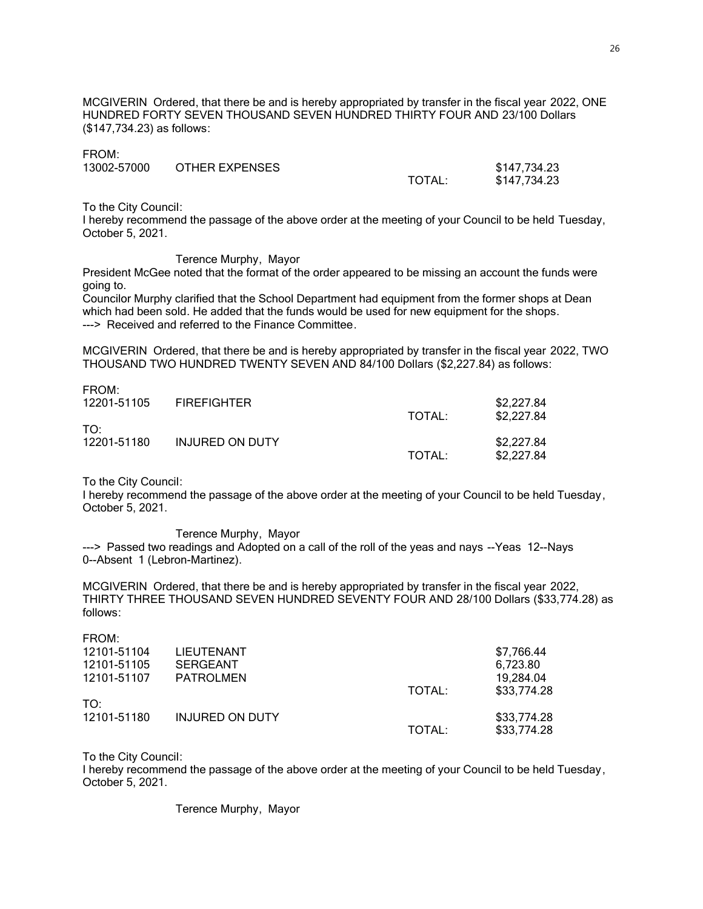MCGIVERIN Ordered, that there be and is hereby appropriated by transfer in the fiscal year 2022, ONE HUNDRED FORTY SEVEN THOUSAND SEVEN HUNDRED THIRTY FOUR AND 23/100 Dollars (\$147,734.23) as follows:

| FROM:       |                |        |              |
|-------------|----------------|--------|--------------|
| 13002-57000 | OTHER EXPENSES |        | \$147,734.23 |
|             |                | TOTAL: | \$147,734.23 |

To the City Council:

I hereby recommend the passage of the above order at the meeting of your Council to be held Tuesday, October 5, 2021.

#### Terence Murphy, Mayor

President McGee noted that the format of the order appeared to be missing an account the funds were going to.

Councilor Murphy clarified that the School Department had equipment from the former shops at Dean which had been sold. He added that the funds would be used for new equipment for the shops. ---> Received and referred to the Finance Committee.

MCGIVERIN Ordered, that there be and is hereby appropriated by transfer in the fiscal year 2022, TWO THOUSAND TWO HUNDRED TWENTY SEVEN AND 84/100 Dollars (\$2,227.84) as follows:

FROM:

| 110<br>12201-51105             | <b>FIREFIGHTER</b> | TOTAL: | \$2,227.84<br>\$2,227.84 |
|--------------------------------|--------------------|--------|--------------------------|
| TO <sup>.</sup><br>12201-51180 | INJURED ON DUTY    | TOTAL: | \$2,227.84<br>\$2,227.84 |

To the City Council:

I hereby recommend the passage of the above order at the meeting of your Council to be held Tuesday, October 5, 2021.

#### Terence Murphy, Mayor

---> Passed two readings and Adopted on a call of the roll of the yeas and nays --Yeas 12--Nays 0--Absent 1 (Lebron-Martinez).

MCGIVERIN Ordered, that there be and is hereby appropriated by transfer in the fiscal year 2022, THIRTY THREE THOUSAND SEVEN HUNDRED SEVENTY FOUR AND 28/100 Dollars (\$33,774.28) as follows:

| FROM:       |                        |        |             |
|-------------|------------------------|--------|-------------|
| 12101-51104 | <b>LIEUTENANT</b>      |        | \$7,766.44  |
| 12101-51105 | <b>SERGEANT</b>        |        | 6,723.80    |
| 12101-51107 | <b>PATROLMEN</b>       |        | 19.284.04   |
|             |                        | TOTAL: | \$33,774.28 |
| TO:         |                        |        |             |
| 12101-51180 | <b>INJURED ON DUTY</b> |        | \$33,774.28 |
|             |                        | TOTAL: | \$33,774.28 |
|             |                        |        |             |

To the City Council:

I hereby recommend the passage of the above order at the meeting of your Council to be held Tuesday, October 5, 2021.

Terence Murphy, Mayor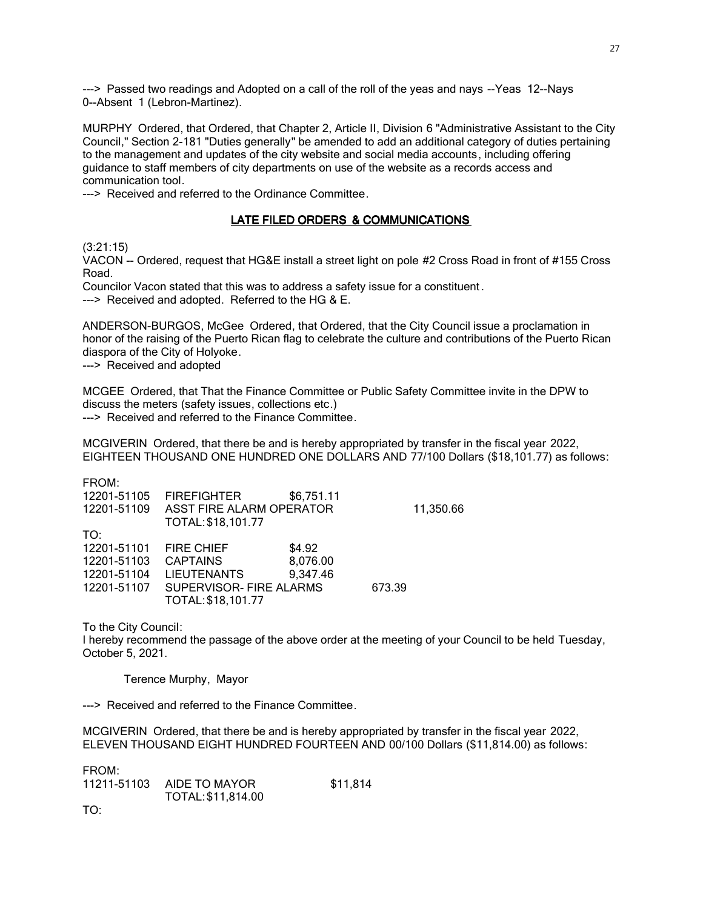---> Passed two readings and Adopted on a call of the roll of the yeas and nays --Yeas 12--Nays 0--Absent 1 (Lebron-Martinez).

MURPHY Ordered, that Ordered, that Chapter 2, Article II, Division 6 "Administrative Assistant to the City Council," Section 2-181 "Duties generally" be amended to add an additional category of duties pertaining to the management and updates of the city website and social media accounts, including offering guidance to staff members of city departments on use of the website as a records access and communication tool.

---> Received and referred to the Ordinance Committee.

# LATE FILED ORDERS & COMMUNICATIONS

# (3:21:15)

VACON -- Ordered, request that HG&E install a street light on pole #2 Cross Road in front of #155 Cross Road.

Councilor Vacon stated that this was to address a safety issue for a constituent .

---> Received and adopted. Referred to the HG & E.

ANDERSON-BURGOS, McGee Ordered, that Ordered, that the City Council issue a proclamation in honor of the raising of the Puerto Rican flag to celebrate the culture and contributions of the Puerto Rican diaspora of the City of Holyoke.

---> Received and adopted

MCGEE Ordered, that That the Finance Committee or Public Safety Committee invite in the DPW to discuss the meters (safety issues, collections etc.) ---> Received and referred to the Finance Committee.

MCGIVERIN Ordered, that there be and is hereby appropriated by transfer in the fiscal year 2022, EIGHTEEN THOUSAND ONE HUNDRED ONE DOLLARS AND 77/100 Dollars (\$18,101.77) as follows:

FROM:

| 12201-51105 | <b>FIREFIGHTER</b>       | \$6,751.11 |        |           |
|-------------|--------------------------|------------|--------|-----------|
| 12201-51109 | ASST FIRE ALARM OPERATOR |            |        | 11,350.66 |
|             | TOTAL: \$18,101.77       |            |        |           |
| TO:         |                          |            |        |           |
| 12201-51101 | <b>FIRE CHIEF</b>        | \$4.92     |        |           |
| 12201-51103 | <b>CAPTAINS</b>          | 8,076.00   |        |           |
| 12201-51104 | <b>LIEUTENANTS</b>       | 9,347.46   |        |           |
| 12201-51107 | SUPERVISOR- FIRE ALARMS  |            | 673.39 |           |
|             | TOTAL: \$18,101.77       |            |        |           |
|             |                          |            |        |           |

To the City Council:

I hereby recommend the passage of the above order at the meeting of your Council to be held Tuesday, October 5, 2021.

Terence Murphy, Mayor

---> Received and referred to the Finance Committee.

MCGIVERIN Ordered, that there be and is hereby appropriated by transfer in the fiscal year 2022, ELEVEN THOUSAND EIGHT HUNDRED FOURTEEN AND 00/100 Dollars (\$11,814.00) as follows:

| FROM: |                           |          |
|-------|---------------------------|----------|
|       | 11211-51103 AIDE TO MAYOR | \$11,814 |
|       | TOTAL: \$11,814.00        |          |
| $ -$  |                           |          |

TO: